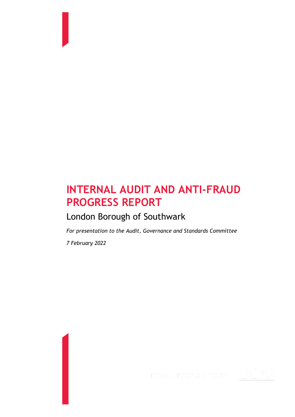# **INTERNAL AUDIT AND ANTI-FRAUD PROGRESS REPORT**

# London Borough of Southwark

*For presentation to the Audit, Governance and Standards Committee*

*7 February 2022*

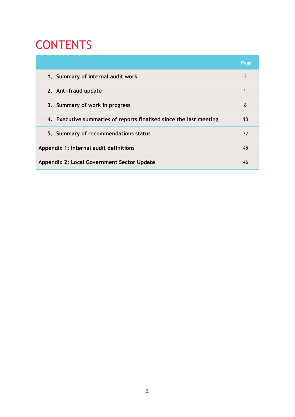# CONTENTS

|                                                                    | Page |
|--------------------------------------------------------------------|------|
| 1. Summary of internal audit work                                  | 3    |
| 2. Anti-fraud update                                               | 5    |
| 3. Summary of work in progress                                     | 8    |
| 4. Executive summaries of reports finalised since the last meeting | 13   |
| 5. Summary of recommendations status                               | 32   |
| Appendix 1: Internal audit definitions                             | 45   |
| Appendix 2: Local Government Sector Update                         | 46   |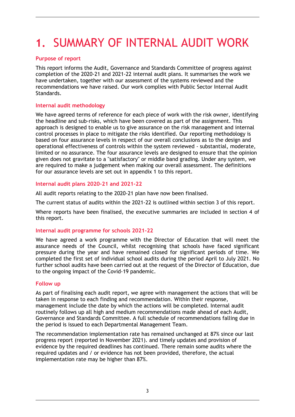# **1.** SUMMARY OF INTERNAL AUDIT WORK

### **Purpose of report**

This report informs the Audit, Governance and Standards Committee of progress against completion of the 2020-21 and 2021-22 internal audit plans. It summarises the work we have undertaken, together with our assessment of the systems reviewed and the recommendations we have raised. Our work complies with Public Sector Internal Audit Standards.

### **Internal audit methodology**

We have agreed terms of reference for each piece of work with the risk owner, identifying the headline and sub-risks, which have been covered as part of the assignment. This approach is designed to enable us to give assurance on the risk management and internal control processes in place to mitigate the risks identified. Our reporting methodology is based on four assurance levels in respect of our overall conclusions as to the design and operational effectiveness of controls within the system reviewed - substantial, moderate, limited or no assurance. The four assurance levels are designed to ensure that the opinion given does not gravitate to a "satisfactory" or middle band grading. Under any system, we are required to make a judgement when making our overall assessment. The definitions for our assurance levels are set out in appendix 1 to this report.

### **Internal audit plans 2020-21 and 2021-22**

All audit reports relating to the 2020-21 plan have now been finalised.

The current status of audits within the 2021-22 is outlined within section 3 of this report.

Where reports have been finalised, the executive summaries are included in section 4 of this report.

### **Internal audit programme for schools 2021-22**

We have agreed a work programme with the Director of Education that will meet the assurance needs of the Council, whilst recognising that schools have faced significant pressure during the year and have remained closed for significant periods of time. We completed the first set of individual school audits during the period April to July 2021. No further school audits have been carried out at the request of the Director of Education, due to the ongoing impact of the Covid-19 pandemic.

### **Follow up**

As part of finalising each audit report, we agree with management the actions that will be taken in response to each finding and recommendation. Within their response, management include the date by which the actions will be completed. Internal audit routinely follows up all high and medium recommendations made ahead of each Audit, Governance and Standards Committee. A full schedule of recommendations falling due in the period is issued to each Departmental Management Team.

The recommendation implementation rate has remained unchanged at 87% since our last progress report (reported in November 2021). and timely updates and provision of evidence by the required deadlines has continued. There remain some audits where the required updates and / or evidence has not been provided, therefore, the actual implementation rate may be higher than 87%.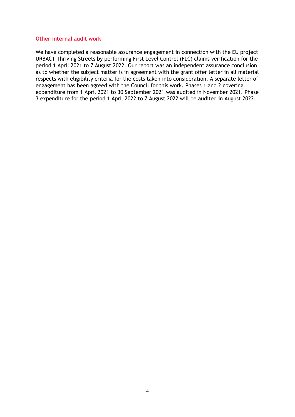#### **Other internal audit work**

We have completed a reasonable assurance engagement in connection with the EU project URBACT Thriving Streets by performing First Level Control (FLC) claims verification for the period 1 April 2021 to 7 August 2022. Our report was an independent assurance conclusion as to whether the subject matter is in agreement with the grant offer letter in all material respects with eligibility criteria for the costs taken into consideration. A separate letter of engagement has been agreed with the Council for this work. Phases 1 and 2 covering expenditure from 1 April 2021 to 30 September 2021 was audited in November 2021. Phase 3 expenditure for the period 1 April 2022 to 7 August 2022 will be audited in August 2022.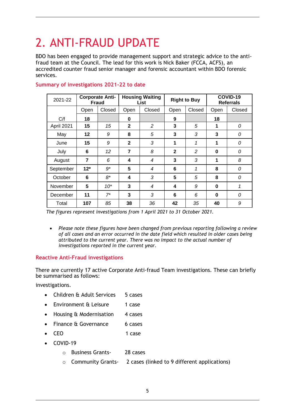# 2. ANTI-FRAUD UPDATE

BDO has been engaged to provide management support and strategic advice to the antifraud team at the Council. The lead for this work is Nick Baker (FCCA, ACFS), an accredited counter fraud senior manager and forensic accountant within BDO forensic services.

| 2021-22    |                | <b>Housing Waiting</b><br><b>Corporate Anti-</b><br><b>Right to Buy</b><br><b>Fraud</b><br>List |                |                  |              |               |             |        | COVID-19<br><b>Referrals</b> |  |
|------------|----------------|-------------------------------------------------------------------------------------------------|----------------|------------------|--------------|---------------|-------------|--------|------------------------------|--|
|            | Open           | Closed                                                                                          | Open           | Closed           | Open         | Closed        | Open        | Closed |                              |  |
| C/f        | 18             |                                                                                                 | 0              |                  | 9            |               | 18          |        |                              |  |
| April 2021 | 15             | 15                                                                                              | $\mathbf{2}$   | $\overline{c}$   | 3            | 5             | $\mathbf 1$ | 0      |                              |  |
| May        | 12             | 9                                                                                               | 8              | 5                | 3            | 3             | 3           | 0      |                              |  |
| June       | 15             | 9                                                                                               | $\mathbf{2}$   | 3                | 1            | 1             | 1           | 0      |                              |  |
| July       | 6              | 12                                                                                              | $\overline{7}$ | 8                | $\mathbf{2}$ | $\mathcal{P}$ | $\bf{0}$    | 0      |                              |  |
| August     | $\overline{7}$ | 6                                                                                               | 4              | 4                | 3            | 3             | 1           | 8      |                              |  |
| September  | $12*$          | $9*$                                                                                            | 5              | $\boldsymbol{4}$ | 6            | 1             | 8           | 0      |                              |  |
| October    | 6              | 8*                                                                                              | 4              | 3                | 5            | 5             | 8           | 0      |                              |  |
| November   | 5              | $10*$                                                                                           | 3              | 4                | 4            | 9             | $\bf{0}$    | 1      |                              |  |
| December   | 11             | $7^*$                                                                                           | 3              | 3                | 6            | 6             | $\bf{0}$    | 0      |                              |  |
| Total      | 107            | 85                                                                                              | 38             | 36               | 42           | 35            | 40          | 9      |                              |  |

#### **Summary of investigations 2021-22 to date**

*The figures represent investigations from 1 April 2021 to 31 October 2021.*

• *Please note these figures have been changed from previous reporting following a review of all cases and an error occurred in the date field which resulted in older cases being attributed to the current year. There was no impact to the actual number of investigations reported in the current year.*

## **Reactive Anti-Fraud investigations**

There are currently 17 active Corporate Anti-fraud Team investigations. These can briefly be summarised as follows:

investigations.

- Children & Adult Services 5 cases
- Environment & Leisure 1 case
- Housing & Modernisation 4 cases
- Finance & Governance 6 cases
- CEO 1 case
- COVID-19
	- o Business Grants- 28 cases
	- o Community Grants- 2 cases (linked to 9 different applications)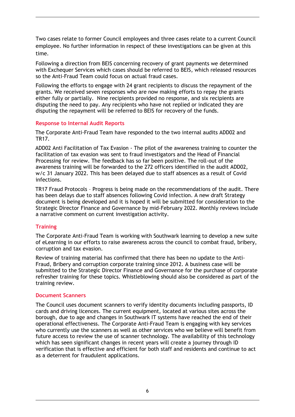Two cases relate to former Council employees and three cases relate to a current Council employee. No further information in respect of these investigations can be given at this time.

Following a direction from BEIS concerning recovery of grant payments we determined with Exchequer Services which cases should be referred to BEIS, which released resources so the Anti-Fraud Team could focus on actual fraud cases.

Following the efforts to engage with 24 grant recipients to discuss the repayment of the grants. We received seven responses who are now making efforts to repay the grants either fully or partially. Nine recipients provided no response, and six recipients are disputing the need to pay. Any recipients who have not replied or indicated they are disputing the repayment will be referred to BEIS for recovery of the funds.

#### **Response to Internal Audit Reports**

The Corporate Anti-Fraud Team have responded to the two internal audits ADD02 and TR17.

ADD02 Anti Facilitation of Tax Evasion - The pilot of the awareness training to counter the facilitation of tax evasion was sent to fraud investigators and the Head of Financial Processing for review. The feedback has so far been positive. The roll-out of the awareness training will be forwarded to the 272 officers identified in the audit ADD02, w/c 31 January 2022. This has been delayed due to staff absences as a result of Covid infections.

TR17 Fraud Protocols – Progress is being made on the recommendations of the audit. There has been delays due to staff absences following Covid infection. A new draft Strategy document is being developed and it is hoped it will be submitted for consideration to the Strategic Director Finance and Governance by mid-February 2022. Monthly reviews include a narrative comment on current investigation activity.

#### **Training**

The Corporate Anti-Fraud Team is working with Southwark learning to develop a new suite of eLearning in our efforts to raise awareness across the council to combat fraud, bribery, corruption and tax evasion.

Review of training material has confirmed that there has been no update to the Anti-Fraud, Bribery and corruption corporate training since 2012. A business case will be submitted to the Strategic Director Finance and Governance for the purchase of corporate refresher training for these topics. Whistleblowing should also be considered as part of the training review.

#### **Document Scanners**

The Council uses document scanners to verify identity documents including passports, ID cards and driving licences. The current equipment, located at various sites across the borough, due to age and changes in Southwark IT systems have reached the end of their operational effectiveness. The Corporate Anti-Fraud Team is engaging with key services who currently use the scanners as well as other services who we believe will benefit from future access to review the use of scanner technology. The availability of this technology which has seen significant changes in recent years will create a journey through ID verification that is effective and efficient for both staff and residents and continue to act as a deterrent for fraudulent applications.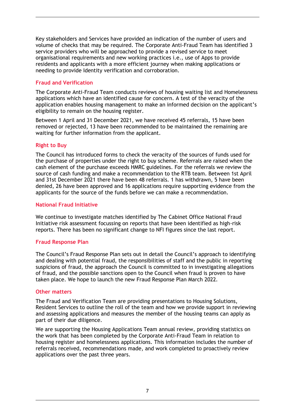Key stakeholders and Services have provided an indication of the number of users and volume of checks that may be required. The Corporate Anti-Fraud Team has identified 3 service providers who will be approached to provide a revised service to meet organisational requirements and new working practices i.e., use of Apps to provide residents and applicants with a more efficient journey when making applications or needing to provide Identity verification and corroboration.

### **Fraud and Verification**

The Corporate Anti-Fraud Team conducts reviews of housing waiting list and Homelessness applications which have an identified cause for concern. A test of the veracity of the application enables housing management to make an informed decision on the applicant's eligibility to remain on the housing register.

Between 1 April and 31 December 2021, we have received 45 referrals, 15 have been removed or rejected, 13 have been recommended to be maintained the remaining are waiting for further information from the applicant.

### **Right to Buy**

The Council has introduced forms to check the veracity of the sources of funds used for the purchase of properties under the right to buy scheme. Referrals are raised when the cash element of the purchase exceeds HMRC guidelines. For the referrals we review the source of cash funding and make a recommendation to the RTB team. Between 1st April and 31st December 2021 there have been 48 referrals. 1 has withdrawn, 5 have been denied, 26 have been approved and 16 applications require supporting evidence from the applicants for the source of the funds before we can make a recommendation.

#### **National Fraud Initiative**

We continue to investigate matches identified by The Cabinet Office National Fraud Initiative risk assessment focussing on reports that have been identified as high-risk reports. There has been no significant change to NFI figures since the last report.

#### **Fraud Response Plan**

The Council's Fraud Response Plan sets out in detail the Council's approach to identifying and dealing with potential fraud, the responsibilities of staff and the public in reporting suspicions of fraud, the approach the Council is committed to in investigating allegations of fraud, and the possible sanctions open to the Council when fraud is proven to have taken place. We hope to launch the new Fraud Response Plan March 2022.

#### **Other matters**

The Fraud and Verification Team are providing presentations to Housing Solutions, Resident Services to outline the roll of the team and how we provide support in reviewing and assessing applications and measures the member of the housing teams can apply as part of their due diligence.

We are supporting the Housing Applications Team annual review, providing statistics on the work that has been completed by the Corporate Anti-Fraud Team in relation to housing register and homelessness applications. This information includes the number of referrals received, recommendations made, and work completed to proactively review applications over the past three years.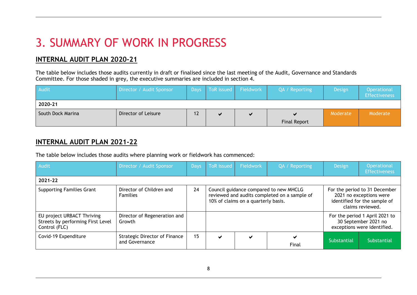# 3. SUMMARY OF WORK IN PROGRESS

## **INTERNAL AUDIT PLAN 2020-21**

The table below includes those audits currently in draft or finalised since the last meeting of the Audit, Governance and Standards Committee. For those shaded in grey, the executive summaries are included in section 4.

| Audit             | Director / Audit Sponsor | <b>Days</b> | ToR issued Fieldwork | QA / Reporting      | Design   | Operational<br><b>Effectiveness</b> |
|-------------------|--------------------------|-------------|----------------------|---------------------|----------|-------------------------------------|
| 2020-21           |                          |             |                      |                     |          |                                     |
| South Dock Marina | Director of Leisure      |             |                      |                     | Moderate | Moderate                            |
|                   |                          |             |                      | <b>Final Report</b> |          |                                     |

## **INTERNAL AUDIT PLAN 2021-22**

The table below includes those audits where planning work or fieldwork has commenced:

| Audit                                                                            | Director / Audit Sponsor                        | Days | <b>ToR</b> issued                                                                                                             | Fieldwork | QA / Reporting | Design                                                                                | Operational<br><b>Effectiveness</b>                                                                          |
|----------------------------------------------------------------------------------|-------------------------------------------------|------|-------------------------------------------------------------------------------------------------------------------------------|-----------|----------------|---------------------------------------------------------------------------------------|--------------------------------------------------------------------------------------------------------------|
| 2021-22                                                                          |                                                 |      |                                                                                                                               |           |                |                                                                                       |                                                                                                              |
| <b>Supporting Families Grant</b>                                                 | Director of Children and<br><b>Families</b>     | 24   | Council guidance compared to new MHCLG<br>reviewed and audits completed on a sample of<br>10% of claims on a quarterly basis. |           |                |                                                                                       | For the period to 31 December<br>2021 no exceptions were<br>identified for the sample of<br>claims reviewed. |
| EU project URBACT Thriving<br>Streets by performing First Level<br>Control (FLC) | Director of Regeneration and<br>Growth          |      |                                                                                                                               |           |                | For the period 1 April 2021 to<br>30 September 2021 no<br>exceptions were identified. |                                                                                                              |
| Covid-19 Expenditure                                                             | Strategic Director of Finance<br>and Governance | 15   | $\checkmark$                                                                                                                  |           | Final          | Substantial                                                                           | Substantial                                                                                                  |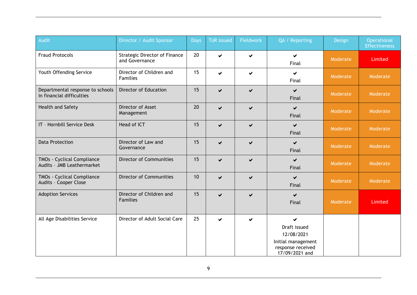| Audit                                                         | Director / Audit Sponsor                               | <b>Days</b> | <b>ToR</b> issued       | Fieldwork             | QA / Reporting                                                                               | Design   | Operational<br><b>Effectiveness</b> |
|---------------------------------------------------------------|--------------------------------------------------------|-------------|-------------------------|-----------------------|----------------------------------------------------------------------------------------------|----------|-------------------------------------|
| <b>Fraud Protocols</b>                                        | <b>Strategic Director of Finance</b><br>and Governance | 20          | $\blacktriangleright$   | $\blacktriangleright$ | $\blacktriangleright$<br>Final                                                               | Moderate | Limited                             |
| Youth Offending Service                                       | Director of Children and<br><b>Families</b>            | 15          | $\blacktriangledown$    | ✔                     | ✔<br>Final                                                                                   | Moderate | Moderate                            |
| Departmental response to schools<br>in financial difficulties | Director of Education                                  | 15          | $\blacktriangleright$   | ✔                     | $\blacktriangledown$<br>Final                                                                | Moderate | Moderate                            |
| Health and Safety                                             | Director of Asset<br>Management                        | 20          | $\checkmark$            | ✔                     | $\blacktriangledown$<br>Final                                                                | Moderate | Moderate                            |
| IT - Hornbill Service Desk                                    | Head of ICT                                            | 15          | $\blacktriangleright$   | $\blacktriangleright$ | $\checkmark$<br>Final                                                                        | Moderate | Moderate                            |
| <b>Data Protection</b>                                        | Director of Law and<br>Governance                      | 15          | $\checkmark$            | ✔                     | $\blacktriangledown$<br>Final                                                                | Moderate | Moderate                            |
| TMOs - Cyclical Compliance<br>Audits - JMB Leathermarket      | <b>Director of Communities</b>                         | 15          | $\blacktriangleright$   | ✔                     | $\blacktriangledown$<br>Final                                                                | Moderate | Moderate                            |
| TMOs - Cyclical Compliance<br>Audits - Cooper Close           | <b>Director of Communities</b>                         | 10          | $\blacktriangleright$   | ✔                     | $\blacktriangledown$<br>Final                                                                | Moderate | Moderate                            |
| <b>Adoption Services</b>                                      | Director of Children and<br><b>Families</b>            | 15          | $\overline{\mathbf{v}}$ |                       | ✔<br>Final                                                                                   | Moderate | Limited                             |
| All Age Disabilities Service                                  | Director of Adult Social Care                          | 25          | $\blacktriangledown$    | ✔                     | ✔<br>Draft issued<br>12/08/2021<br>Initial management<br>response received<br>17/09/2021 and |          |                                     |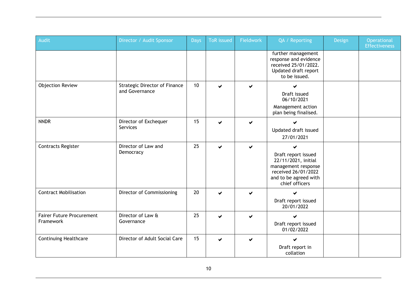| Audit                                         | Director / Audit Sponsor                               | <b>Days</b> | <b>ToR</b> issued | Fieldwork | QA / Reporting                                                                                                                           | Design | Operational<br><b>Effectiveness</b> |
|-----------------------------------------------|--------------------------------------------------------|-------------|-------------------|-----------|------------------------------------------------------------------------------------------------------------------------------------------|--------|-------------------------------------|
|                                               |                                                        |             |                   |           | further management<br>response and evidence<br>received 25/01/2022.<br>Updated draft report<br>to be issued.                             |        |                                     |
| <b>Objection Review</b>                       | <b>Strategic Director of Finance</b><br>and Governance | 10          |                   |           | Draft issued<br>06/10/2021<br>Management action<br>plan being finalised.                                                                 |        |                                     |
| <b>NNDR</b>                                   | Director of Exchequer<br>Services                      | 15          |                   | ✔         | Updated draft issued<br>27/01/2021                                                                                                       |        |                                     |
| <b>Contracts Register</b>                     | Director of Law and<br>Democracy                       | 25          | ✔                 |           | ✔<br>Draft report issued<br>22/11/2021, initial<br>management response<br>received 26/01/2022<br>and to be agreed with<br>chief officers |        |                                     |
| <b>Contract Mobilisation</b>                  | Director of Commissioning                              | 20          |                   |           | Draft report issued<br>20/01/2022                                                                                                        |        |                                     |
| <b>Fairer Future Procurement</b><br>Framework | Director of Law &<br>Governance                        | 25          |                   |           | ✔<br>Draft report issued<br>01/02/2022                                                                                                   |        |                                     |
| <b>Continuing Healthcare</b>                  | Director of Adult Social Care                          | 15          | ✔                 |           | ✔<br>Draft report in<br>collation                                                                                                        |        |                                     |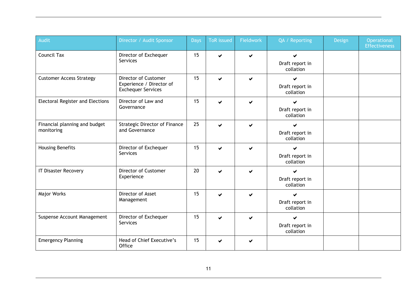| Audit                                       | Director / Audit Sponsor                                                      | Days | <b>ToR</b> issued | Fieldwork | QA / Reporting                    | Design | Operational<br><b>Effectiveness</b> |
|---------------------------------------------|-------------------------------------------------------------------------------|------|-------------------|-----------|-----------------------------------|--------|-------------------------------------|
| Council Tax                                 | Director of Exchequer<br>Services                                             | 15   |                   | ✔         | ✔<br>Draft report in<br>collation |        |                                     |
| <b>Customer Access Strategy</b>             | Director of Customer<br>Experience / Director of<br><b>Exchequer Services</b> | 15   | ✔                 | ✔         | ✔<br>Draft report in<br>collation |        |                                     |
| <b>Electoral Register and Elections</b>     | Director of Law and<br>Governance                                             | 15   |                   | ✔         | Draft report in<br>collation      |        |                                     |
| Financial planning and budget<br>monitoring | <b>Strategic Director of Finance</b><br>and Governance                        | 25   |                   | ✔         | ✔<br>Draft report in<br>collation |        |                                     |
| <b>Housing Benefits</b>                     | Director of Exchequer<br>Services                                             | 15   |                   | ✔         | ✔<br>Draft report in<br>collation |        |                                     |
| <b>IT Disaster Recovery</b>                 | Director of Customer<br>Experience                                            | 20   |                   | ✔         | ✔<br>Draft report in<br>collation |        |                                     |
| Major Works                                 | Director of Asset<br>Management                                               | 15   |                   | ✔         | ✔<br>Draft report in<br>collation |        |                                     |
| Suspense Account Management                 | Director of Exchequer<br>Services                                             | 15   | ✔                 | ✔         | ✔<br>Draft report in<br>collation |        |                                     |
| <b>Emergency Planning</b>                   | Head of Chief Executive's<br>Office                                           | 15   |                   | ✔         |                                   |        |                                     |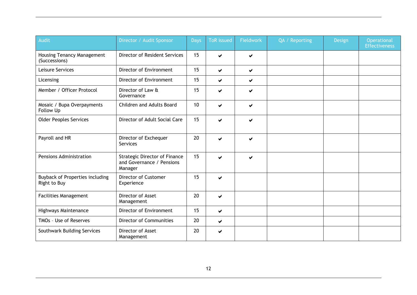| Audit                                              | Director / Audit Sponsor                                                     | Days | <b>ToR</b> issued    | Fieldwork | QA / Reporting | <b>Design</b> | Operational<br><b>Effectiveness</b> |
|----------------------------------------------------|------------------------------------------------------------------------------|------|----------------------|-----------|----------------|---------------|-------------------------------------|
| <b>Housing Tenancy Management</b><br>(Successions) | Director of Resident Services                                                | 15   | ✔                    | ✔         |                |               |                                     |
| Leisure Services                                   | Director of Environment                                                      | 15   | ✔                    | ✔         |                |               |                                     |
| Licensing                                          | Director of Environment                                                      | 15   | ✔                    | ✔         |                |               |                                     |
| Member / Officer Protocol                          | Director of Law &<br>Governance                                              | 15   | ✔                    | ✔         |                |               |                                     |
| Mosaic / Bupa Overpayments<br>Follow Up            | Children and Adults Board                                                    | 10   | ✔                    | ✔         |                |               |                                     |
| <b>Older Peoples Services</b>                      | Director of Adult Social Care                                                | 15   | ✔                    | ✔         |                |               |                                     |
| Payroll and HR                                     | Director of Exchequer<br>Services                                            | 20   | ✔                    | ✔         |                |               |                                     |
| Pensions Administration                            | <b>Strategic Director of Finance</b><br>and Governance / Pensions<br>Manager | 15   | ✔                    | ✔         |                |               |                                     |
| Buyback of Properties including<br>Right to Buy    | <b>Director of Customer</b><br>Experience                                    | 15   | ✔                    |           |                |               |                                     |
| <b>Facilities Management</b>                       | Director of Asset<br>Management                                              | 20   | ✔                    |           |                |               |                                     |
| Highways Maintenance                               | Director of Environment                                                      | 15   | ✔                    |           |                |               |                                     |
| TMOs - Use of Reserves                             | <b>Director of Communities</b>                                               | 20   | $\blacktriangledown$ |           |                |               |                                     |
| Southwark Building Services                        | Director of Asset<br>Management                                              | 20   | ✔                    |           |                |               |                                     |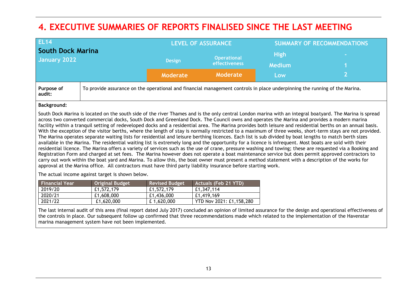## **4. EXECUTIVE SUMMARIES OF REPORTS FINALISED SINCE THE LAST MEETING**

| <b>EL14</b>              |                                                                                                                            |               | <b>LEVEL OF ASSURANCE</b> | <b>SUMMARY OF RECOMMENDATIONS</b> |                 |  |
|--------------------------|----------------------------------------------------------------------------------------------------------------------------|---------------|---------------------------|-----------------------------------|-----------------|--|
| <b>South Dock Marina</b> |                                                                                                                            |               | <b>Operational</b>        | <b>High</b>                       | <b>Contract</b> |  |
| January 2022             |                                                                                                                            | <b>Design</b> | <b>effectiveness</b>      | <b>Medium</b>                     |                 |  |
|                          |                                                                                                                            | Moderate      | <b>Moderate</b>           | Low                               |                 |  |
| Purpose of<br>audit:     | To provide assurance on the operational and financial management controls in place underpinning the running of the Marina. |               |                           |                                   |                 |  |

#### **Background:**

South Dock Marina is located on the south side of the river Thames and is the only central London marina with an integral boatyard. The Marina is spread across two converted commercial docks, South Dock and Greenland Dock. The Council owns and operates the Marina and provides a modern marina facility within a tranquil setting of redeveloped docks and a residential area. The Marina provides both leisure and residential berths on an annual basis. With the exception of the visitor berths, where the length of stay is normally restricted to a maximum of three weeks, short-term stays are not provided. The Marina operates separate waiting lists for residential and leisure berthing licences. Each list is sub divided by boat lengths to match berth sizes available in the Marina. The residential waiting list is extremely long and the opportunity for a licence is infrequent. Most boats are sold with their residential licence. The Marina offers a variety of services such as the use of crane, pressure washing and towing; these are requested via a Booking and Registration Form and charged at set fees. The Marina however does not operate a boat maintenance service but does permit approved contractors to carry out work within the boat yard and Marina. To allow this, the boat owner must present a method statement with a description of the works for approval at the Marina office. All contractors must have third party liability insurance before starting work.

The actual income against target is shown below.

| <b>Financial Year</b> | Original Budget | <b>Revised Budget</b> | <b>Actuals (Feb 21 YTD)</b> |
|-----------------------|-----------------|-----------------------|-----------------------------|
| 2019/20               | £1,572,179      | £1,572,179            | £1,347,114                  |
| 2020/21               | £1,608,000      | £1,436,000            | £1,419,169                  |
| 2021/22               | £1,620,000      | £1,620,000            | YTD Nov 2021: £1,158,280    |

The last internal audit of this area (final report dated July 2017) concluded an opinion of limited assurance for the design and operational effectiveness of the controls in place. Our subsequent follow up confirmed that three recommendations made which related to the implementation of the Havenstar marina management system have not been implemented.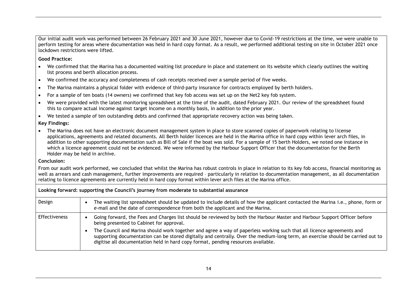Our initial audit work was performed between 26 February 2021 and 30 June 2021, however due to Covid-19 restrictions at the time, we were unable to perform testing for areas where documentation was held in hard copy format. As a result, we performed additional testing on site in October 2021 once lockdown restrictions were lifted.

**Good Practice:** 

- We confirmed that the Marina has a documented waiting list procedure in place and statement on its website which clearly outlines the waiting list process and berth allocation process.
- We confirmed the accuracy and completeness of cash receipts received over a sample period of five weeks.
- The Marina maintains a physical folder with evidence of third-party insurance for contracts employed by berth holders.
- For a sample of ten boats (14 owners) we confirmed that key fob access was set up on the Net2 key fob system.
- We were provided with the latest monitoring spreadsheet at the time of the audit, dated February 2021. Our review of the spreadsheet found this to compare actual income against target income on a monthly basis, in addition to the prior year.
- We tested a sample of ten outstanding debts and confirmed that appropriate recovery action was being taken.

**Key Findings:** 

• The Marina does not have an electronic document management system in place to store scanned copies of paperwork relating to license applications, agreements and related documents. All Berth holder licences are held in the Marina office in hard copy within lever arch files, in addition to other supporting documentation such as Bill of Sale if the boat was sold. For a sample of 15 berth Holders, we noted one instance in which a licence agreement could not be evidenced. We were informed by the Harbour Support Officer that the documentation for the Berth Holder may be held in archive.

#### **Conclusion:**

From our audit work performed, we concluded that whilst the Marina has robust controls in place in relation to its key fob access, financial monitoring as well as arrears and cash management, further improvements are required – particularly in relation to documentation management, as all documentation relating to licence agreements are currently held in hard copy format within lever arch files at the Marina office.

**Looking forward: supporting the Council's journey from moderate to substantial assurance**

| Design               | The waiting list spreadsheet should be updated to include details of how the applicant contacted the Marina i.e., phone, form or<br>e-mail and the date of correspondence from both the applicant and the Marina.                                                                                                                             |
|----------------------|-----------------------------------------------------------------------------------------------------------------------------------------------------------------------------------------------------------------------------------------------------------------------------------------------------------------------------------------------|
| <b>Effectiveness</b> | Going forward, the Fees and Charges list should be reviewed by both the Harbour Master and Harbour Support Officer before<br>being presented to Cabinet for approval.                                                                                                                                                                         |
|                      | The Council and Marina should work together and agree a way of paperless working such that all licence agreements and<br>supporting documentation can be stored digitally and centrally. Over the medium-long term, an exercise should be carried out to<br>digitise all documentation held in hard copy format, pending resources available. |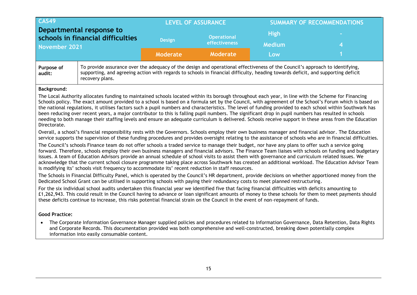|                                                                                                                                                                                                                                                                                                                                                                                                                                                    | <b>CAS49</b>                                                                                                                                                                                                                                                                                                                                                                                                 |                 | <b>LEVEL OF ASSURANCE</b>           | <b>SUMMARY OF RECOMMENDATIONS</b> |                                                                                                                                                                                                                                                                                                                                                                                                                                                                               |  |  |
|----------------------------------------------------------------------------------------------------------------------------------------------------------------------------------------------------------------------------------------------------------------------------------------------------------------------------------------------------------------------------------------------------------------------------------------------------|--------------------------------------------------------------------------------------------------------------------------------------------------------------------------------------------------------------------------------------------------------------------------------------------------------------------------------------------------------------------------------------------------------------|-----------------|-------------------------------------|-----------------------------------|-------------------------------------------------------------------------------------------------------------------------------------------------------------------------------------------------------------------------------------------------------------------------------------------------------------------------------------------------------------------------------------------------------------------------------------------------------------------------------|--|--|
|                                                                                                                                                                                                                                                                                                                                                                                                                                                    | Departmental response to<br>schools in financial difficulties<br><b>November 2021</b>                                                                                                                                                                                                                                                                                                                        |                 | <b>Operational</b><br>effectiveness | <b>High</b><br><b>Medium</b>      |                                                                                                                                                                                                                                                                                                                                                                                                                                                                               |  |  |
|                                                                                                                                                                                                                                                                                                                                                                                                                                                    |                                                                                                                                                                                                                                                                                                                                                                                                              | <b>Moderate</b> | Moderate                            |                                   |                                                                                                                                                                                                                                                                                                                                                                                                                                                                               |  |  |
| To provide assurance over the adequacy of the design and operational effectiveness of the Council's approach to identifying,<br>Purpose of<br>supporting, and agreeing action with regards to schools in financial difficulty, heading towards deficit, and supporting deficit<br>audit:<br>recovery plans.                                                                                                                                        |                                                                                                                                                                                                                                                                                                                                                                                                              |                 |                                     |                                   |                                                                                                                                                                                                                                                                                                                                                                                                                                                                               |  |  |
| <b>Background:</b>                                                                                                                                                                                                                                                                                                                                                                                                                                 |                                                                                                                                                                                                                                                                                                                                                                                                              |                 |                                     |                                   |                                                                                                                                                                                                                                                                                                                                                                                                                                                                               |  |  |
| Directorate.                                                                                                                                                                                                                                                                                                                                                                                                                                       | The Local Authority allocates funding to maintained schools located within its borough throughout each year, in line with the Scheme for Financing<br>been reducing over recent years, a major contributor to this is falling pupil numbers. The significant drop in pupil numbers has resulted in schools                                                                                                   |                 |                                     |                                   | Schools policy. The exact amount provided to a school is based on a formula set by the Council, with agreement of the School's Forum which is based on<br>the national regulations, it utilises factors such a pupil numbers and characteristics. The level of funding provided to each school within Southwark has<br>needing to both manage their staffing levels and ensure an adequate curriculum is delivered. Schools receive support in these areas from the Education |  |  |
|                                                                                                                                                                                                                                                                                                                                                                                                                                                    |                                                                                                                                                                                                                                                                                                                                                                                                              |                 |                                     |                                   | Overall, a school's financial responsibility rests with the Governors. Schools employ their own business manager and financial advisor. The Education<br>service supports the supervision of these funding procedures and provides oversight relating to the assistance of schools who are in financial difficulties.                                                                                                                                                         |  |  |
|                                                                                                                                                                                                                                                                                                                                                                                                                                                    | The Council's schools Finance team do not offer schools a traded service to manage their budget, nor have any plans to offer such a service going<br>issues. A team of Education Advisors provide an annual schedule of school visits to assist them with governance and curriculum related issues. We<br>is modifying its' schools visit frequency to accommodate its' recent reduction in staff resources. |                 |                                     |                                   | forward. Therefore, schools employ their own business managers and financial advisors. The Finance Team liaises with schools on funding and budgetary<br>acknowledge that the current school closure programme taking place across Southwark has created an additional workload. The Education Advisor Team                                                                                                                                                                   |  |  |
|                                                                                                                                                                                                                                                                                                                                                                                                                                                    | Dedicated School Grant can be utilised in supporting schools with paying their redundancy costs to meet planned restructuring.                                                                                                                                                                                                                                                                               |                 |                                     |                                   | The Schools in Financial Difficulty Panel, which is operated by the Council's HR department, provide decisions on whether apportioned money from the                                                                                                                                                                                                                                                                                                                          |  |  |
| For the six individual school audits undertaken this financial year we identified five that facing financial difficulties with deficits amounting to<br>£1,262,943. This could result in the Council having to advance or loan significant amounts of money to these schools for them to meet payments should<br>these deficits continue to increase, this risks potential financial strain on the Council in the event of non-repayment of funds. |                                                                                                                                                                                                                                                                                                                                                                                                              |                 |                                     |                                   |                                                                                                                                                                                                                                                                                                                                                                                                                                                                               |  |  |
| <b>Good Practice:</b>                                                                                                                                                                                                                                                                                                                                                                                                                              |                                                                                                                                                                                                                                                                                                                                                                                                              |                 |                                     |                                   |                                                                                                                                                                                                                                                                                                                                                                                                                                                                               |  |  |
|                                                                                                                                                                                                                                                                                                                                                                                                                                                    | and Corporate Records. This documentation provided was both comprehensive and well-constructed, breaking down potentially complex                                                                                                                                                                                                                                                                            |                 |                                     |                                   | The Corporate Information Governance Manager supplied policies and procedures related to Information Governance, Data Retention, Data Rights                                                                                                                                                                                                                                                                                                                                  |  |  |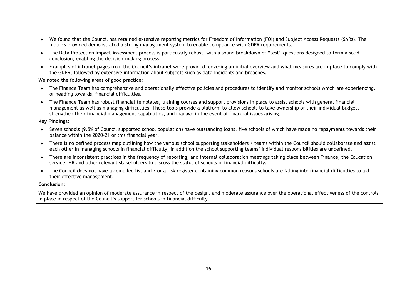- We found that the Council has retained extensive reporting metrics for Freedom of Information (FOI) and Subject Access Requests (SARs). The metrics provided demonstrated a strong management system to enable compliance with GDPR requirements.
- The Data Protection Impact Assessment process is particularly robust, with a sound breakdown of "test" questions designed to form a solid conclusion, enabling the decision-making process.
- Examples of intranet pages from the Council's intranet were provided, covering an initial overview and what measures are in place to comply with the GDPR, followed by extensive information about subjects such as data incidents and breaches.

We noted the following areas of good practice:

- The Finance Team has comprehensive and operationally effective policies and procedures to identify and monitor schools which are experiencing, or heading towards, financial difficulties.
- The Finance Team has robust financial templates, training courses and support provisions in place to assist schools with general financial management as well as managing difficulties. These tools provide a platform to allow schools to take ownership of their individual budget, strengthen their financial management capabilities, and manage in the event of financial issues arising.

#### **Key Findings:**

- Seven schools (9.5% of Council supported school population) have outstanding loans, five schools of which have made no repayments towards their balance within the 2020-21 or this financial year.
- There is no defined process map outlining how the various school supporting stakeholders / teams within the Council should collaborate and assist each other in managing schools in financial difficulty, in addition the school supporting teams' individual responsibilities are undefined.
- There are inconsistent practices in the frequency of reporting, and internal collaboration meetings taking place between Finance, the Education service, HR and other relevant stakeholders to discuss the status of schools in financial difficulty.
- The Council does not have a compiled list and / or a risk register containing common reasons schools are falling into financial difficulties to aid their effective management.

#### **Conclusion:**

We have provided an opinion of moderate assurance in respect of the design, and moderate assurance over the operational effectiveness of the controls in place in respect of the Council's support for schools in financial difficulty.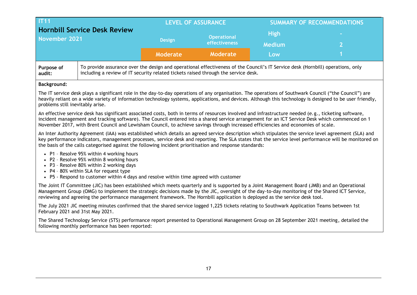|                                                             | <b>IT11</b>                                                                                                                                                                                                                                                                                                                                                                                                                                 |                 | <b>LEVEL OF ASSURANCE</b>           |                              | <b>SUMMARY OF RECOMMENDATIONS</b>                                                                                                                         |  |  |
|-------------------------------------------------------------|---------------------------------------------------------------------------------------------------------------------------------------------------------------------------------------------------------------------------------------------------------------------------------------------------------------------------------------------------------------------------------------------------------------------------------------------|-----------------|-------------------------------------|------------------------------|-----------------------------------------------------------------------------------------------------------------------------------------------------------|--|--|
| <b>Hornbill Service Desk Review</b><br><b>November 2021</b> |                                                                                                                                                                                                                                                                                                                                                                                                                                             | <b>Design</b>   | <b>Operational</b><br>effectiveness | <b>High</b><br><b>Medium</b> |                                                                                                                                                           |  |  |
|                                                             |                                                                                                                                                                                                                                                                                                                                                                                                                                             | <b>Moderate</b> | <b>Moderate</b>                     | Low                          |                                                                                                                                                           |  |  |
| Purpose of<br>audit:                                        | To provide assurance over the design and operational effectiveness of the Council's IT Service desk (Hornbill) operations, only<br>including a review of IT security related tickets raised through the service desk.                                                                                                                                                                                                                       |                 |                                     |                              |                                                                                                                                                           |  |  |
| <b>Background:</b>                                          |                                                                                                                                                                                                                                                                                                                                                                                                                                             |                 |                                     |                              |                                                                                                                                                           |  |  |
| problems still inevitably arise.                            | The IT service desk plays a significant role in the day-to-day operations of any organisation. The operations of Southwark Council ("the Council") are                                                                                                                                                                                                                                                                                      |                 |                                     |                              | heavily reliant on a wide variety of information technology systems, applications, and devices. Although this technology is designed to be user friendly, |  |  |
|                                                             | An effective service desk has significant associated costs, both in terms of resources involved and infrastructure needed (e.g., ticketing software,<br>incident management and tracking software). The Council entered into a shared service arrangement for an ICT Service Desk which commenced on 1<br>November 2017, with Brent Council and Lewisham Council, to achieve savings through increased efficiencies and economies of scale. |                 |                                     |                              |                                                                                                                                                           |  |  |
|                                                             |                                                                                                                                                                                                                                                                                                                                                                                                                                             |                 |                                     |                              |                                                                                                                                                           |  |  |
|                                                             | An Inter Authority Agreement (IAA) was established which details an agreed service description which stipulates the service level agreement (SLA) and<br>the basis of the calls categorised against the following incident prioritisation and response standards:                                                                                                                                                                           |                 |                                     |                              | key performance indicators, management processes, service desk and reporting. The SLA states that the service level performance will be monitored on      |  |  |
|                                                             | • P1 - Resolve 95% within 4 working hours<br>• P2 - Resolve 95% within 8 working hours<br>• P3 - Resolve 80% within 2 working days<br>• P4 - 80% within SLA for request type<br>• P5 - Respond to customer within 4 days and resolve within time agreed with customer                                                                                                                                                                       |                 |                                     |                              |                                                                                                                                                           |  |  |
|                                                             | The Joint IT Committee (JIC) has been established which meets quarterly and is supported by a Joint Management Board (JMB) and an Operational<br>Management Group (OMG) to implement the strategic decisions made by the JIC, oversight of the day-to-day monitoring of the Shared ICT Service,<br>reviewing and agreeing the performance management framework. The Hornbill application is deployed as the service desk tool.              |                 |                                     |                              |                                                                                                                                                           |  |  |
|                                                             | The July 2021 JIC meeting minutes confirmed that the shared service logged 1,225 tickets relating to Southwark Application Teams between 1st<br>February 2021 and 31st May 2021.                                                                                                                                                                                                                                                            |                 |                                     |                              |                                                                                                                                                           |  |  |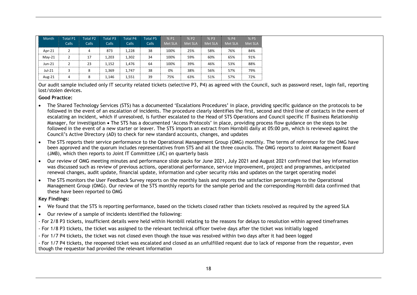| Month    | <b>Total P1</b><br><b>Calls</b> | <b>Total P2</b><br>Calls | <b>Total P3</b><br>Calls | <b>Total P4</b><br>Calls | <b>Total P5</b><br><b>Calls</b> | % P1<br>Met SLA | % P2<br><b>Met SLA</b> | % P3<br>Met SLA | $%$ P4<br>Met SLA | % P5<br>Met SLA |
|----------|---------------------------------|--------------------------|--------------------------|--------------------------|---------------------------------|-----------------|------------------------|-----------------|-------------------|-----------------|
| Apr-21   |                                 | 4                        | 873                      | 1.228                    | 38                              | 100%            | 25%                    | 58%             | 76%               | 84%             |
| $Mav-21$ |                                 | 17                       | 1.203                    | 1,302                    | 34                              | 100%            | 59%                    | 60%             | 65%               | 91%             |
| $Jun-21$ |                                 | 23                       | 1.152                    | 1,476                    | 64                              | 100%            | 39%                    | 46%             | 53%               | 88%             |
| $Jul-21$ |                                 | 8                        | 1.369                    | 1,747                    | 38                              | 0%              | 38%                    | 56%             | 57%               | 79%             |
| Aug-21   | 4                               | 8                        | 1.146                    | 1,551                    | 39                              | 75%             | 63%                    | 51%             | 57%               | 72%             |

Our audit sample included only IT security related tickets (selective P3, P4) as agreed with the Council, such as password reset, login fail, reporting lost/stolen devices.

#### **Good Practice:**

- The Shared Technology Services (STS) has a documented 'Escalations Procedures' in place, providing specific guidance on the protocols to be followed in the event of an escalation of incidents. The procedure clearly identifies the first, second and third line of contacts in the event of escalating an incident, which if unresolved, is further escalated to the Head of STS Operations and Council specific IT Business Relationship Manager, for investigation • The STS has a documented 'Access Protocols' in place, providing process flow guidance on the steps to be followed in the event of a new starter or leaver. The STS imports an extract from Hornbill daily at 05:00 pm, which is reviewed against the Council's Active Directory (AD) to check for new standard accounts, changes, and updates
- The STS reports their service performance to the Operational Management Group (OMG) monthly. The terms of reference for the OMG have been approved and the quorum includes representatives from STS and all the three councils. The OMG reports to Joint Management Board (JMB), which then reports to Joint IT Committee (JIC) on quarterly basis
- Our review of OMG meeting minutes and performance slide packs for June 2021, July 2021 and August 2021 confirmed that key information was discussed such as review of previous actions, operational performance, service improvement, project and programmes, anticipated renewal changes, audit update, financial update, information and cyber security risks and updates on the target operating model
- The STS monitors the User Feedback Survey reports on the monthly basis and reports the satisfaction percentages to the Operational Management Group (OMG). Our review of the STS monthly reports for the sample period and the corresponding Hornbill data confirmed that these have been reported to OMG

#### **Key Findings:**

- We found that the STS is reporting performance, based on the tickets closed rather than tickets resolved as required by the agreed SLA
- Our review of a sample of incidents identified the following:
- For 2/8 P3 tickets, insufficient details were held within Hornbill relating to the reasons for delays to resolution within agreed timeframes
- For 1/8 P3 tickets, the ticket was assigned to the relevant technical officer twelve days after the ticket was initially logged
- For 1/7 P4 tickets, the ticket was not closed even though the issue was resolved within two days after it had been logged

- For 1/7 P4 tickets, the reopened ticket was escalated and closed as an unfulfilled request due to lack of response from the requestor, even though the requestor had provided the relevant information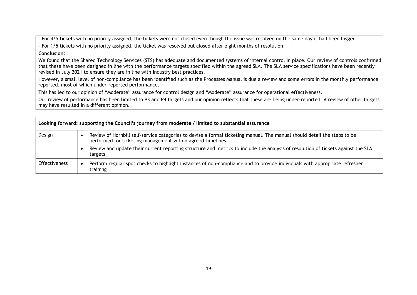- For 4/5 tickets with no priority assigned, the tickets were not closed even though the issue was resolved on the same day it had been logged

- For 1/5 tickets with no priority assigned, the ticket was resolved but closed after eight months of resolution

### **Conclusion:**

We found that the Shared Technology Services (STS) has adequate and documented systems of internal control in place. Our review of controls confirmed that these have been designed in line with the performance targets specified within the agreed SLA. The SLA service specifications have been recently revised in July 2021 to ensure they are in line with industry best practices.

However, a small level of non-compliance has been identified such as the Processes Manual is due a review and some errors in the monthly performance reported, most of which under-reported performance.

This has led to our opinion of "Moderate" assurance for control design and "Moderate" assurance for operational effectiveness.

Our review of performance has been limited to P3 and P4 targets and our opinion reflects that these are being under-reported. A review of other targets may have resulted in a different opinion.

| Looking forward: supporting the Council's journey from moderate / limited to substantial assurance |  |                                                                                                                                                                                        |  |  |
|----------------------------------------------------------------------------------------------------|--|----------------------------------------------------------------------------------------------------------------------------------------------------------------------------------------|--|--|
| Design                                                                                             |  | Review of Hornbill self-service categories to devise a formal ticketing manual. The manual should detail the steps to be<br>performed for ticketing management within agreed timelines |  |  |
|                                                                                                    |  | Review and update their current reporting structure and metrics to include the analysis of resolution of tickets against the SLA<br>targets                                            |  |  |
| <b>Effectiveness</b>                                                                               |  | Perform regular spot checks to highlight instances of non-compliance and to provide individuals with appropriate refresher<br>training                                                 |  |  |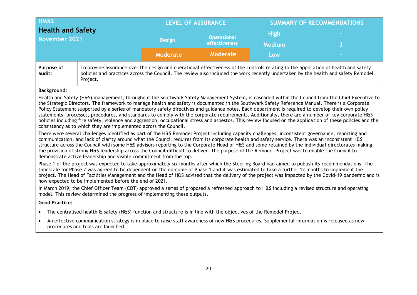| <b>HM52</b><br><b>Health and Safety</b><br><b>November 2021</b>                                                    |                                                                                                                                                                                                                                                                                                                                                                                                                                                                                                                                                                                                                                                                                                                                                                                                                                                                                                           |                 | <b>LEVEL OF ASSURANCE</b>           | <b>SUMMARY OF RECOMMENDATIONS</b> |                                                                                                                                                                                                                                                                                                                                                                                                                                                                                                                                                                                                                                                                                                                                                                                  |  |
|--------------------------------------------------------------------------------------------------------------------|-----------------------------------------------------------------------------------------------------------------------------------------------------------------------------------------------------------------------------------------------------------------------------------------------------------------------------------------------------------------------------------------------------------------------------------------------------------------------------------------------------------------------------------------------------------------------------------------------------------------------------------------------------------------------------------------------------------------------------------------------------------------------------------------------------------------------------------------------------------------------------------------------------------|-----------------|-------------------------------------|-----------------------------------|----------------------------------------------------------------------------------------------------------------------------------------------------------------------------------------------------------------------------------------------------------------------------------------------------------------------------------------------------------------------------------------------------------------------------------------------------------------------------------------------------------------------------------------------------------------------------------------------------------------------------------------------------------------------------------------------------------------------------------------------------------------------------------|--|
|                                                                                                                    |                                                                                                                                                                                                                                                                                                                                                                                                                                                                                                                                                                                                                                                                                                                                                                                                                                                                                                           | <b>Design</b>   | <b>Operational</b><br>effectiveness | <b>High</b><br><b>Medium</b>      | R                                                                                                                                                                                                                                                                                                                                                                                                                                                                                                                                                                                                                                                                                                                                                                                |  |
|                                                                                                                    |                                                                                                                                                                                                                                                                                                                                                                                                                                                                                                                                                                                                                                                                                                                                                                                                                                                                                                           | <b>Moderate</b> | Moderate                            | Low                               |                                                                                                                                                                                                                                                                                                                                                                                                                                                                                                                                                                                                                                                                                                                                                                                  |  |
| Purpose of<br>audit:                                                                                               | Project.                                                                                                                                                                                                                                                                                                                                                                                                                                                                                                                                                                                                                                                                                                                                                                                                                                                                                                  |                 |                                     |                                   | To provide assurance over the design and operational effectiveness of the controls relating to the application of health and safety<br>policies and practices across the Council. The review also included the work recently undertaken by the health and safety Remodel                                                                                                                                                                                                                                                                                                                                                                                                                                                                                                         |  |
| Background:                                                                                                        |                                                                                                                                                                                                                                                                                                                                                                                                                                                                                                                                                                                                                                                                                                                                                                                                                                                                                                           |                 |                                     |                                   |                                                                                                                                                                                                                                                                                                                                                                                                                                                                                                                                                                                                                                                                                                                                                                                  |  |
|                                                                                                                    | the Strategic Directors. The framework to manage health and safety is documented in the Southwark Safety Reference Manual. There is a Corporate<br>Policy Statement supported by a series of mandatory safety directives and guidance notes. Each department is required to develop their own policy<br>consistency as to which they are implemented across the Council.<br>There were several challenges identified as part of the H&S Remodel Project including capacity challenges, inconsistent governance, reporting and<br>communication, and lack of clarity around what the Council requires from its corporate health and safety service. There was an inconsistent H&S<br>the provision of strong H&S leadership across the Council difficult to deliver. The purpose of the Remodel Project was to enable the Council to<br>demonstrate active leadership and visible commitment from the top. |                 |                                     |                                   | Health and Safety (H&S) management, throughout the Southwark Safety Management System, is cascaded within the Council from the Chief Executive to<br>statements, processes, procedures, and standards to comply with the corporate requirements. Additionally, there are a number of key corporate H&S<br>policies including fire safety, violence and aggression, occupational stress and asbestos. This review focused on the application of these policies and the<br>structure across the Council with some H&S advisors reporting to the Corporate Head of H&S and some retained by the individual directorates making<br>Phase 1 of the project was expected to take approximately six months after which the Steering Board had aimed to publish its recommendations. The |  |
|                                                                                                                    | timescale for Phase 2 was agreed to be dependent on the outcome of Phase 1 and it was estimated to take a further 12 months to implement the<br>now expected to be implemented before the end of 2021.                                                                                                                                                                                                                                                                                                                                                                                                                                                                                                                                                                                                                                                                                                    |                 |                                     |                                   | project. The Head of Facilities Management and the Head of H&S advised that the delivery of the project was impacted by the Covid-19 pandemic and is                                                                                                                                                                                                                                                                                                                                                                                                                                                                                                                                                                                                                             |  |
|                                                                                                                    | In March 2019, the Chief Officer Team (COT) approved a series of proposed a refreshed approach to H&S including a revised structure and operating<br>model. This review determined the progress of implementing these outputs.                                                                                                                                                                                                                                                                                                                                                                                                                                                                                                                                                                                                                                                                            |                 |                                     |                                   |                                                                                                                                                                                                                                                                                                                                                                                                                                                                                                                                                                                                                                                                                                                                                                                  |  |
| <b>Good Practice:</b>                                                                                              |                                                                                                                                                                                                                                                                                                                                                                                                                                                                                                                                                                                                                                                                                                                                                                                                                                                                                                           |                 |                                     |                                   |                                                                                                                                                                                                                                                                                                                                                                                                                                                                                                                                                                                                                                                                                                                                                                                  |  |
| The centralised health & safety (H&S) function and structure is in line with the objectives of the Remodel Project |                                                                                                                                                                                                                                                                                                                                                                                                                                                                                                                                                                                                                                                                                                                                                                                                                                                                                                           |                 |                                     |                                   |                                                                                                                                                                                                                                                                                                                                                                                                                                                                                                                                                                                                                                                                                                                                                                                  |  |
|                                                                                                                    | An effective communication strategy is in place to raise staff awareness of new H&S procedures. Supplemental information is released as new<br>$\bullet$<br>procedures and tools are launched.                                                                                                                                                                                                                                                                                                                                                                                                                                                                                                                                                                                                                                                                                                            |                 |                                     |                                   |                                                                                                                                                                                                                                                                                                                                                                                                                                                                                                                                                                                                                                                                                                                                                                                  |  |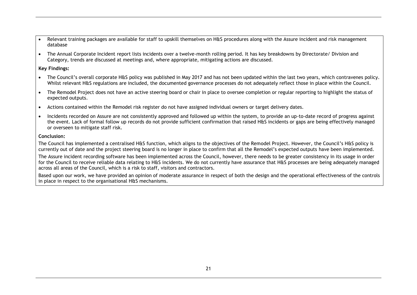- Relevant training packages are available for staff to upskill themselves on H&S procedures along with the Assure incident and risk management database
- The Annual Corporate Incident report lists incidents over a twelve-month rolling period. It has key breakdowns by Directorate/ Division and Category, trends are discussed at meetings and, where appropriate, mitigating actions are discussed.

#### **Key Findings:**

- The Council's overall corporate H&S policy was published in May 2017 and has not been updated within the last two years, which contravenes policy. Whilst relevant H&S regulations are included, the documented governance processes do not adequately reflect those in place within the Council.
- The Remodel Project does not have an active steering board or chair in place to oversee completion or regular reporting to highlight the status of expected outputs.
- Actions contained within the Remodel risk register do not have assigned individual owners or target delivery dates.
- Incidents recorded on Assure are not consistently approved and followed up within the system, to provide an up-to-date record of progress against the event. Lack of formal follow up records do not provide sufficient confirmation that raised H&S incidents or gaps are being effectively managed or overseen to mitigate staff risk.

#### **Conclusion:**

The Council has implemented a centralised H&S function, which aligns to the objectives of the Remodel Project. However, the Council's H&S policy is currently out of date and the project steering board is no longer in place to confirm that all the Remodel's expected outputs have been implemented.

The Assure incident recording software has been implemented across the Council, however, there needs to be greater consistency in its usage in order for the Council to receive reliable data relating to H&S incidents. We do not currently have assurance that H&S processes are being adequately managed across all areas of the Council, which is a risk to staff, visitors and contractors.

Based upon our work, we have provided an opinion of moderate assurance in respect of both the design and the operational effectiveness of the controls in place in respect to the organisational H&S mechanisms.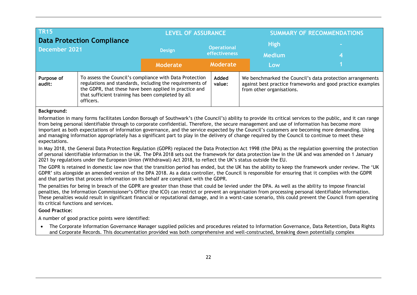| <b>TR15</b><br><b>Data Protection Compliance</b><br>December 2021 |                                                                                                                                                                                                                                                                                                                                                                                                                                                                                                                                                                                                                                                                                                                                                                                                                                                                                                                                                                                                                                                                                                                                                                                                                                                                                                                                                                                                                                                                                       | <b>LEVEL OF ASSURANCE</b>                                                                                                                                                                                                                                                         |                                     |  | <b>SUMMARY OF RECOMMENDATIONS</b> |  |  |
|-------------------------------------------------------------------|---------------------------------------------------------------------------------------------------------------------------------------------------------------------------------------------------------------------------------------------------------------------------------------------------------------------------------------------------------------------------------------------------------------------------------------------------------------------------------------------------------------------------------------------------------------------------------------------------------------------------------------------------------------------------------------------------------------------------------------------------------------------------------------------------------------------------------------------------------------------------------------------------------------------------------------------------------------------------------------------------------------------------------------------------------------------------------------------------------------------------------------------------------------------------------------------------------------------------------------------------------------------------------------------------------------------------------------------------------------------------------------------------------------------------------------------------------------------------------------|-----------------------------------------------------------------------------------------------------------------------------------------------------------------------------------------------------------------------------------------------------------------------------------|-------------------------------------|--|-----------------------------------|--|--|
|                                                                   |                                                                                                                                                                                                                                                                                                                                                                                                                                                                                                                                                                                                                                                                                                                                                                                                                                                                                                                                                                                                                                                                                                                                                                                                                                                                                                                                                                                                                                                                                       | <b>Design</b>                                                                                                                                                                                                                                                                     | <b>Operational</b><br>effectiveness |  | <b>High</b><br><b>Medium</b>      |  |  |
|                                                                   |                                                                                                                                                                                                                                                                                                                                                                                                                                                                                                                                                                                                                                                                                                                                                                                                                                                                                                                                                                                                                                                                                                                                                                                                                                                                                                                                                                                                                                                                                       | <b>Moderate</b>                                                                                                                                                                                                                                                                   | Moderate                            |  | Low                               |  |  |
| Purpose of<br>audit:                                              | To assess the Council's compliance with Data Protection<br>Added<br>We benchmarked the Council's data protection arrangements<br>regulations and standards, including the requirements of<br>value:<br>against best practice frameworks and good practice examples<br>the GDPR, that these have been applied in practice and<br>from other organisations.<br>that sufficient training has been completed by all<br>officers.                                                                                                                                                                                                                                                                                                                                                                                                                                                                                                                                                                                                                                                                                                                                                                                                                                                                                                                                                                                                                                                          |                                                                                                                                                                                                                                                                                   |                                     |  |                                   |  |  |
| expectations.                                                     | <b>Background:</b><br>Information in many forms facilitates London Borough of Southwark's (the Council's) ability to provide its critical services to the public, and it can range<br>from being personal identifiable through to corporate confidential. Therefore, the secure management and use of information has become more<br>important as both expectations of information governance, and the service expected by the Council's customers are becoming more demanding. Using<br>and managing information appropriately has a significant part to play in the delivery of change required by the Council to continue to meet these<br>In May 2018, the General Data Protection Regulation (GDPR) replaced the Data Protection Act 1998 (the DPA) as the regulation governing the protection<br>of personal identifiable information in the UK. The DPA 2018 sets out the framework for data protection law in the UK and was amended on 1 January<br>2021 by regulations under the European Union (Withdrawal) Act 2018, to reflect the UK's status outside the EU.<br>The GDPR is retained in domestic law now that the transition period has ended, but the UK has the ability to keep the framework under review. The 'UK<br>GDPR' sits alongside an amended version of the DPA 2018. As a data controller, the Council is responsible for ensuring that it complies with the GDPR<br>and that parties that process information on its behalf are compliant with the GDPR. |                                                                                                                                                                                                                                                                                   |                                     |  |                                   |  |  |
|                                                                   | The penalties for being in breach of the GDPR are greater than those that could be levied under the DPA. As well as the ability to impose financial<br>penalties, the Information Commissioner's Office (the ICO) can restrict or prevent an organisation from processing personal identifiable information.<br>These penalties would result in significant financial or reputational damage, and in a worst-case scenario, this could prevent the Council from operating<br>its critical functions and services.                                                                                                                                                                                                                                                                                                                                                                                                                                                                                                                                                                                                                                                                                                                                                                                                                                                                                                                                                                     |                                                                                                                                                                                                                                                                                   |                                     |  |                                   |  |  |
| <b>Good Practice:</b>                                             |                                                                                                                                                                                                                                                                                                                                                                                                                                                                                                                                                                                                                                                                                                                                                                                                                                                                                                                                                                                                                                                                                                                                                                                                                                                                                                                                                                                                                                                                                       |                                                                                                                                                                                                                                                                                   |                                     |  |                                   |  |  |
|                                                                   | A number of good practice points were identified:                                                                                                                                                                                                                                                                                                                                                                                                                                                                                                                                                                                                                                                                                                                                                                                                                                                                                                                                                                                                                                                                                                                                                                                                                                                                                                                                                                                                                                     |                                                                                                                                                                                                                                                                                   |                                     |  |                                   |  |  |
| $\bullet$                                                         |                                                                                                                                                                                                                                                                                                                                                                                                                                                                                                                                                                                                                                                                                                                                                                                                                                                                                                                                                                                                                                                                                                                                                                                                                                                                                                                                                                                                                                                                                       | The Corporate Information Governance Manager supplied policies and procedures related to Information Governance, Data Retention, Data Rights<br>and Corporate Records. This documentation provided was both comprehensive and well-constructed, breaking down potentially complex |                                     |  |                                   |  |  |
|                                                                   |                                                                                                                                                                                                                                                                                                                                                                                                                                                                                                                                                                                                                                                                                                                                                                                                                                                                                                                                                                                                                                                                                                                                                                                                                                                                                                                                                                                                                                                                                       |                                                                                                                                                                                                                                                                                   |                                     |  |                                   |  |  |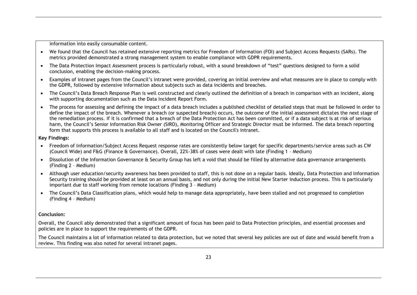information into easily consumable content.

- We found that the Council has retained extensive reporting metrics for Freedom of Information (FOI) and Subject Access Requests (SARs). The metrics provided demonstrated a strong management system to enable compliance with GDPR requirements.
- The Data Protection Impact Assessment process is particularly robust, with a sound breakdown of "test" questions designed to form a solid conclusion, enabling the decision-making process.
- Examples of intranet pages from the Council's intranet were provided, covering an initial overview and what measures are in place to comply with the GDPR, followed by extensive information about subjects such as data incidents and breaches.
- The Council's Data Breach Response Plan is well constructed and clearly outlined the definition of a breach in comparison with an incident, along with supporting documentation such as the Data Incident Report Form.
- The process for assessing and defining the impact of a data breach includes a published checklist of detailed steps that must be followed in order to define the impact of the breach. Whenever a breach (or suspected breach) occurs, the outcome of the initial assessment dictates the next stage of the remediation process. If it is confirmed that a breach of the Data Protection Act has been committed, or if a data subject is at risk of serious harm, the Council's Senior Information Risk Owner (SIRO), Monitoring Officer and Strategic Director must be informed. The data breach reporting form that supports this process is available to all staff and is located on the Council's intranet.

#### **Key Findings:**

- Freedom of Information/Subject Access Request response rates are consistently below target for specific departments/service areas such as CW (Council Wide) and F&G (Finance & Governance). Overall, 22%-38% of cases were dealt with late (Finding 1 – Medium)
- Dissolution of the Information Governance & Security Group has left a void that should be filled by alternative data governance arrangements (Finding 2 – Medium)
- Although user education/security awareness has been provided to staff, this is not done on a regular basis. Ideally, Data Protection and Information Security training should be provided at least on an annual basis, and not only during the initial New Starter induction process. This is particularly important due to staff working from remote locations (Finding 3 – Medium)
- The Council's Data Classification plans, which would help to manage data appropriately, have been stalled and not progressed to completion (Finding 4 – Medium)

#### **Conclusion:**

Overall, the Council ably demonstrated that a significant amount of focus has been paid to Data Protection principles, and essential processes and policies are in place to support the requirements of the GDPR.

The Council maintains a lot of information related to data protection, but we noted that several key policies are out of date and would benefit from a review. This finding was also noted for several intranet pages.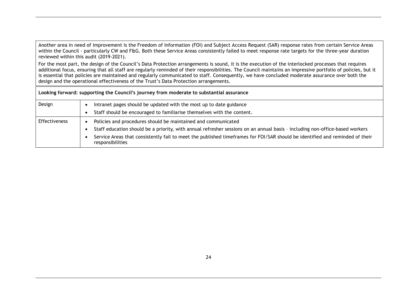Another area in need of improvement is the Freedom of Information (FOI) and Subject Access Request (SAR) response rates from certain Service Areas within the Council - particularly CW and F&G. Both these Service Areas consistently failed to meet response rate targets for the three-year duration reviewed within this audit (2019-2021).

For the most part, the design of the Council's Data Protection arrangements is sound, it is the execution of the interlocked processes that requires additional focus, ensuring that all staff are regularly reminded of their responsibilities. The Council maintains an impressive portfolio of policies, but it is essential that policies are maintained and regularly communicated to staff. Consequently, we have concluded moderate assurance over both the design and the operational effectiveness of the Trust's Data Protection arrangements.

**Looking forward: supporting the Council's journey from moderate to substantial assurance**

| Design        | Intranet pages should be updated with the most up to date guidance<br>Staff should be encouraged to familiarise themselves with the content.     |
|---------------|--------------------------------------------------------------------------------------------------------------------------------------------------|
| Effectiveness | Policies and procedures should be maintained and communicated                                                                                    |
|               | Staff education should be a priority, with annual refresher sessions on an annual basis - including non-office-based workers                     |
|               | Service Areas that consistently fail to meet the published timeframes for FOI/SAR should be identified and reminded of their<br>responsibilities |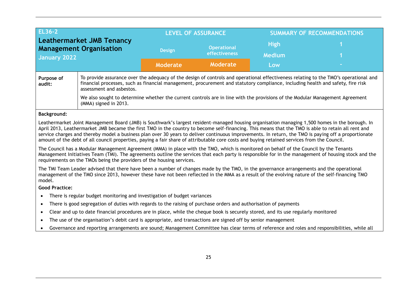| <b>EL36-2</b><br><b>Leathermarket JMB Tenancy</b><br><b>Management Organisation</b> |                                                                                                                                                                                                                                                                                                                                                                                                                                                                                                                                                                                                                                                                              |                 | <b>LEVEL OF ASSURANCE</b>           |                      | <b>SUMMARY OF RECOMMENDATIONS</b>                                                                                                                    |  |
|-------------------------------------------------------------------------------------|------------------------------------------------------------------------------------------------------------------------------------------------------------------------------------------------------------------------------------------------------------------------------------------------------------------------------------------------------------------------------------------------------------------------------------------------------------------------------------------------------------------------------------------------------------------------------------------------------------------------------------------------------------------------------|-----------------|-------------------------------------|----------------------|------------------------------------------------------------------------------------------------------------------------------------------------------|--|
|                                                                                     |                                                                                                                                                                                                                                                                                                                                                                                                                                                                                                                                                                                                                                                                              | <b>Design</b>   | <b>Operational</b><br>effectiveness | <b>High</b>          |                                                                                                                                                      |  |
| <b>January 2022</b>                                                                 |                                                                                                                                                                                                                                                                                                                                                                                                                                                                                                                                                                                                                                                                              | <b>Moderate</b> | Moderate                            | <b>Medium</b><br>Low |                                                                                                                                                      |  |
| Purpose of<br>audit:                                                                | financial processes, such as financial management, procurement and statutory compliance, including health and safety, fire risk<br>assessment and asbestos.                                                                                                                                                                                                                                                                                                                                                                                                                                                                                                                  |                 |                                     |                      | To provide assurance over the adequacy of the design of controls and operational effectiveness relating to the TMO's operational and                 |  |
|                                                                                     | We also sought to determine whether the current controls are in line with the provisions of the Modular Management Agreement<br>(MMA) signed in 2013.                                                                                                                                                                                                                                                                                                                                                                                                                                                                                                                        |                 |                                     |                      |                                                                                                                                                      |  |
| <b>Background:</b>                                                                  |                                                                                                                                                                                                                                                                                                                                                                                                                                                                                                                                                                                                                                                                              |                 |                                     |                      |                                                                                                                                                      |  |
|                                                                                     | April 2013, Leathermarket JMB became the first TMO in the country to become self-financing. This means that the TMO is able to retain all rent and<br>service charges and thereby model a business plan over 30 years to deliver continuous improvements. In return, the TMO is paying off a proportionate<br>amount of the debt of all council properties, paying a fair share of attributable core costs and buying retained services from the Council.<br>The Council has a Modular Management Agreement (MMA) in place with the TMO, which is monitored on behalf of the Council by the Tenants<br>requirements on the TMOs being the providers of the housing services. |                 |                                     |                      | Management Initiatives Team (TMI). The agreements outline the services that each party is responsible for in the management of housing stock and the |  |
| model.                                                                              | The TMI Team Leader advised that there have been a number of changes made by the TMO, in the governance arrangements and the operational<br>management of the TMO since 2013, however these have not been reflected in the MMA as a result of the evolving nature of the self-financing TMO                                                                                                                                                                                                                                                                                                                                                                                  |                 |                                     |                      |                                                                                                                                                      |  |
| <b>Good Practice:</b>                                                               |                                                                                                                                                                                                                                                                                                                                                                                                                                                                                                                                                                                                                                                                              |                 |                                     |                      |                                                                                                                                                      |  |
| $\bullet$                                                                           | There is regular budget monitoring and investigation of budget variances                                                                                                                                                                                                                                                                                                                                                                                                                                                                                                                                                                                                     |                 |                                     |                      |                                                                                                                                                      |  |
|                                                                                     | There is good segregation of duties with regards to the raising of purchase orders and authorisation of payments                                                                                                                                                                                                                                                                                                                                                                                                                                                                                                                                                             |                 |                                     |                      |                                                                                                                                                      |  |
| $\bullet$                                                                           |                                                                                                                                                                                                                                                                                                                                                                                                                                                                                                                                                                                                                                                                              |                 |                                     |                      |                                                                                                                                                      |  |
| $\bullet$                                                                           | Clear and up to date financial procedures are in place, while the cheque book is securely stored, and its use regularly monitored                                                                                                                                                                                                                                                                                                                                                                                                                                                                                                                                            |                 |                                     |                      |                                                                                                                                                      |  |
| $\bullet$                                                                           | The use of the organisation's debit card is appropriate, and transactions are signed off by senior management<br>Governance and reporting arrangements are sound; Management Committee has clear terms of reference and roles and responsibilities, while all                                                                                                                                                                                                                                                                                                                                                                                                                |                 |                                     |                      |                                                                                                                                                      |  |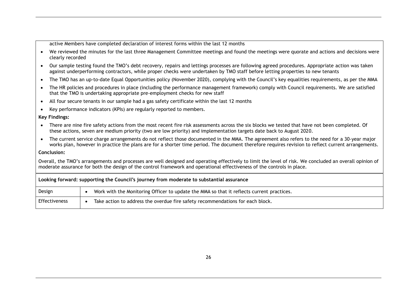active Members have completed declaration of interest forms within the last 12 months

- We reviewed the minutes for the last three Management Committee meetings and found the meetings were quorate and actions and decisions were clearly recorded
- Our sample testing found the TMO's debt recovery, repairs and lettings processes are following agreed procedures. Appropriate action was taken against underperforming contractors, while proper checks were undertaken by TMO staff before letting properties to new tenants
- The TMO has an up-to-date Equal Opportunities policy (November 2020), complying with the Council's key equalities requirements, as per the MMA
- The HR policies and procedures in place (including the performance management framework) comply with Council requirements. We are satisfied that the TMO is undertaking appropriate pre-employment checks for new staff
- All four secure tenants in our sample had a gas safety certificate within the last 12 months
- Key performance indicators (KPIs) are regularly reported to members.

#### **Key Findings:**

- There are nine fire safety actions from the most recent fire risk assessments across the six blocks we tested that have not been completed. Of these actions, seven are medium priority (two are low priority) and implementation targets date back to August 2020.
- The current service charge arrangements do not reflect those documented in the MMA. The agreement also refers to the need for a 30-year major works plan, however in practice the plans are for a shorter time period. The document therefore requires revision to reflect current arrangements.

#### **Conclusion:**

Overall, the TMO's arrangements and processes are well designed and operating effectively to limit the level of risk. We concluded an overall opinion of moderate assurance for both the design of the control framework and operational effectiveness of the controls in place.

|                      | Looking forward: supporting the Council's journey from moderate to substantial assurance  |  |  |  |
|----------------------|-------------------------------------------------------------------------------------------|--|--|--|
| Design               | Work with the Monitoring Officer to update the MMA so that it reflects current practices. |  |  |  |
| <b>Effectiveness</b> | Take action to address the overdue fire safety recommendations for each block.            |  |  |  |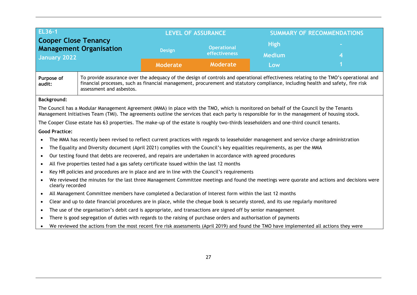| <b>EL36-1</b>                                                                 |                                                                                                                                                                                                                                                                                                     | <b>LEVEL OF ASSURANCE</b> |                 | <b>SUMMARY OF RECOMMENDATIONS</b> |  |  |
|-------------------------------------------------------------------------------|-----------------------------------------------------------------------------------------------------------------------------------------------------------------------------------------------------------------------------------------------------------------------------------------------------|---------------------------|-----------------|-----------------------------------|--|--|
| <b>Cooper Close Tenancy</b><br><b>Management Organisation</b><br>January 2022 |                                                                                                                                                                                                                                                                                                     | <b>Operational</b>        |                 | <b>High</b>                       |  |  |
|                                                                               |                                                                                                                                                                                                                                                                                                     | <b>Design</b>             | effectiveness   | <b>Medium</b>                     |  |  |
|                                                                               |                                                                                                                                                                                                                                                                                                     | <b>Moderate</b>           | <b>Moderate</b> | Low                               |  |  |
| Purpose of<br>audit:                                                          | To provide assurance over the adequacy of the design of controls and operational effectiveness relating to the TMO's operational and<br>financial processes, such as financial management, procurement and statutory compliance, including health and safety, fire risk<br>assessment and asbestos. |                           |                 |                                   |  |  |
| <b>Background:</b>                                                            |                                                                                                                                                                                                                                                                                                     |                           |                 |                                   |  |  |
|                                                                               | The Council has a Modular Management Agreement (MMA) in place with the TMO, which is monitored on behalf of the Council by the Tenants<br>Management Initiatives Team (TMI). The agreements outline the services that each party is responsible for in the management of housing stock.             |                           |                 |                                   |  |  |
|                                                                               | The Cooper Close estate has 63 properties. The make-up of the estate is roughly two-thirds leaseholders and one-third council tenants.                                                                                                                                                              |                           |                 |                                   |  |  |
| <b>Good Practice:</b>                                                         |                                                                                                                                                                                                                                                                                                     |                           |                 |                                   |  |  |
|                                                                               | The MMA has recently been revised to reflect current practices with regards to leaseholder management and service charge administration                                                                                                                                                             |                           |                 |                                   |  |  |
| $\bullet$                                                                     | The Equality and Diversity document (April 2021) complies with the Council's key equalities requirements, as per the MMA                                                                                                                                                                            |                           |                 |                                   |  |  |
| $\bullet$                                                                     | Our testing found that debts are recovered, and repairs are undertaken in accordance with agreed procedures                                                                                                                                                                                         |                           |                 |                                   |  |  |
| $\bullet$                                                                     | All five properties tested had a gas safety certificate issued within the last 12 months                                                                                                                                                                                                            |                           |                 |                                   |  |  |
| $\bullet$                                                                     | Key HR policies and procedures are in place and are in line with the Council's requirements                                                                                                                                                                                                         |                           |                 |                                   |  |  |
| $\bullet$                                                                     | We reviewed the minutes for the last three Management Committee meetings and found the meetings were quorate and actions and decisions were<br>clearly recorded                                                                                                                                     |                           |                 |                                   |  |  |
| $\bullet$                                                                     | All Management Committee members have completed a Declaration of Interest form within the last 12 months                                                                                                                                                                                            |                           |                 |                                   |  |  |
| $\bullet$                                                                     | Clear and up to date financial procedures are in place, while the cheque book is securely stored, and its use regularly monitored                                                                                                                                                                   |                           |                 |                                   |  |  |
| $\bullet$                                                                     | The use of the organisation's debit card is appropriate, and transactions are signed off by senior management                                                                                                                                                                                       |                           |                 |                                   |  |  |
| $\bullet$                                                                     | There is good segregation of duties with regards to the raising of purchase orders and authorisation of payments                                                                                                                                                                                    |                           |                 |                                   |  |  |
|                                                                               | We reviewed the actions from the most recent fire risk assessments (April 2019) and found the TMO have implemented all actions they were                                                                                                                                                            |                           |                 |                                   |  |  |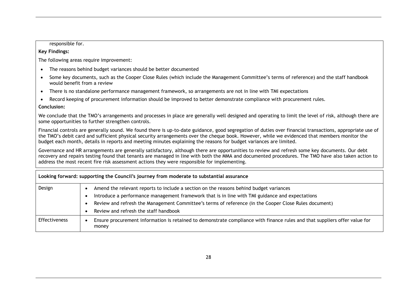responsible for.

#### **Key Findings:**

The following areas require improvement:

- The reasons behind budget variances should be better documented
- Some key documents, such as the Cooper Close Rules (which include the Management Committee's terms of reference) and the staff handbook would benefit from a review
- There is no standalone performance management framework, so arrangements are not in line with TMI expectations
- Record keeping of procurement information should be improved to better demonstrate compliance with procurement rules.

#### **Conclusion:**

We conclude that the TMO's arrangements and processes in place are generally well designed and operating to limit the level of risk, although there are some opportunities to further strengthen controls.

Financial controls are generally sound. We found there is up-to-date guidance, good segregation of duties over financial transactions, appropriate use of the TMO's debit card and sufficient physical security arrangements over the cheque book. However, while we evidenced that members monitor the budget each month, details in reports and meeting minutes explaining the reasons for budget variances are limited.

Governance and HR arrangements are generally satisfactory, although there are opportunities to review and refresh some key documents. Our debt recovery and repairs testing found that tenants are managed in line with both the MMA and documented procedures. The TMO have also taken action to address the most recent fire risk assessment actions they were responsible for implementing.

|               | Looking forward: supporting the Council's journey from moderate to substantial assurance                                            |
|---------------|-------------------------------------------------------------------------------------------------------------------------------------|
| Design        | Amend the relevant reports to include a section on the reasons behind budget variances                                              |
|               | Introduce a performance management framework that is in line with TMI guidance and expectations                                     |
|               | Review and refresh the Management Committee's terms of reference (in the Cooper Close Rules document)                               |
|               | Review and refresh the staff handbook                                                                                               |
| Effectiveness | Ensure procurement information is retained to demonstrate compliance with finance rules and that suppliers offer value for<br>money |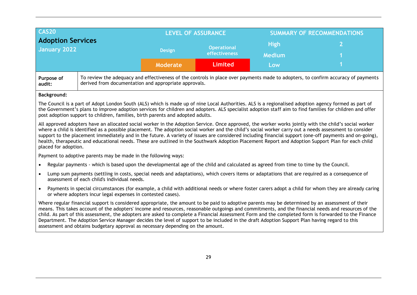|                                                                                                                                                                                                                                                                                                                                                                                                                                                                                                                                                                                                                                                                                                     | <b>CAS20</b>                                                                                                                                                                                                                                                                                                                                                                                        |                 | <b>LEVEL OF ASSURANCE</b> |               | <b>SUMMARY OF RECOMMENDATIONS</b> |  |  |
|-----------------------------------------------------------------------------------------------------------------------------------------------------------------------------------------------------------------------------------------------------------------------------------------------------------------------------------------------------------------------------------------------------------------------------------------------------------------------------------------------------------------------------------------------------------------------------------------------------------------------------------------------------------------------------------------------------|-----------------------------------------------------------------------------------------------------------------------------------------------------------------------------------------------------------------------------------------------------------------------------------------------------------------------------------------------------------------------------------------------------|-----------------|---------------------------|---------------|-----------------------------------|--|--|
| <b>Adoption Services</b><br><b>January 2022</b>                                                                                                                                                                                                                                                                                                                                                                                                                                                                                                                                                                                                                                                     |                                                                                                                                                                                                                                                                                                                                                                                                     | <b>Design</b>   | <b>Operational</b>        | <b>High</b>   | $\overline{2}$                    |  |  |
|                                                                                                                                                                                                                                                                                                                                                                                                                                                                                                                                                                                                                                                                                                     |                                                                                                                                                                                                                                                                                                                                                                                                     |                 | effectiveness             | <b>Medium</b> |                                   |  |  |
|                                                                                                                                                                                                                                                                                                                                                                                                                                                                                                                                                                                                                                                                                                     |                                                                                                                                                                                                                                                                                                                                                                                                     | <b>Moderate</b> | <b>Limited</b>            | Low           |                                   |  |  |
| Purpose of<br>audit:                                                                                                                                                                                                                                                                                                                                                                                                                                                                                                                                                                                                                                                                                | To review the adequacy and effectiveness of the controls in place over payments made to adopters, to confirm accuracy of payments<br>derived from documentation and appropriate approvals.                                                                                                                                                                                                          |                 |                           |               |                                   |  |  |
| <b>Background:</b>                                                                                                                                                                                                                                                                                                                                                                                                                                                                                                                                                                                                                                                                                  |                                                                                                                                                                                                                                                                                                                                                                                                     |                 |                           |               |                                   |  |  |
|                                                                                                                                                                                                                                                                                                                                                                                                                                                                                                                                                                                                                                                                                                     | The Council is a part of Adopt London South (ALS) which is made up of nine Local Authorities. ALS is a regionalised adoption agency formed as part of<br>the Government's plans to improve adoption services for children and adopters. ALS specialist adoption staff aim to find families for children and offer<br>post adoption support to children, families, birth parents and adopted adults. |                 |                           |               |                                   |  |  |
| All approved adopters have an allocated social worker in the Adoption Service. Once approved, the worker works jointly with the child's social worker<br>where a child is identified as a possible placement. The adoption social worker and the child's social worker carry out a needs assessment to consider<br>support to the placement immediately and in the future. A variety of issues are considered including financial support (one-off payments and on-going),<br>health, therapeutic and educational needs. These are outlined in the Southwark Adoption Placement Report and Adoption Support Plan for each child<br>placed for adoption.                                             |                                                                                                                                                                                                                                                                                                                                                                                                     |                 |                           |               |                                   |  |  |
|                                                                                                                                                                                                                                                                                                                                                                                                                                                                                                                                                                                                                                                                                                     | Payment to adoptive parents may be made in the following ways:                                                                                                                                                                                                                                                                                                                                      |                 |                           |               |                                   |  |  |
| $\bullet$                                                                                                                                                                                                                                                                                                                                                                                                                                                                                                                                                                                                                                                                                           | Regular payments - which is based upon the developmental age of the child and calculated as agreed from time to time by the Council.                                                                                                                                                                                                                                                                |                 |                           |               |                                   |  |  |
| $\bullet$                                                                                                                                                                                                                                                                                                                                                                                                                                                                                                                                                                                                                                                                                           | Lump sum payments (settling in costs, special needs and adaptations), which covers items or adaptations that are required as a consequence of<br>assessment of each child's individual needs.                                                                                                                                                                                                       |                 |                           |               |                                   |  |  |
| $\bullet$                                                                                                                                                                                                                                                                                                                                                                                                                                                                                                                                                                                                                                                                                           | Payments in special circumstances (for example, a child with additional needs or where foster carers adopt a child for whom they are already caring<br>or where adopters incur legal expenses in contested cases).                                                                                                                                                                                  |                 |                           |               |                                   |  |  |
| Where regular financial support is considered appropriate, the amount to be paid to adoptive parents may be determined by an assessment of their<br>means. This takes account of the adopters' income and resources, reasonable outgoings and commitments, and the financial needs and resources of the<br>child. As part of this assessment, the adopters are asked to complete a Financial Assessment Form and the completed form is forwarded to the Finance<br>Department. The Adoption Service Manager decides the level of support to be included in the draft Adoption Support Plan having regard to this<br>assessment and obtains budgetary approval as necessary depending on the amount. |                                                                                                                                                                                                                                                                                                                                                                                                     |                 |                           |               |                                   |  |  |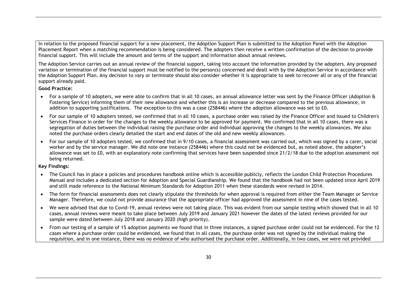In relation to the proposed financial support for a new placement, the Adoption Support Plan is submitted to the Adoption Panel with the [Adoption](http://trixresources.proceduresonline.com/nat_key/keywords/adoption_placement_report.html)  [Placement Report](http://trixresources.proceduresonline.com/nat_key/keywords/adoption_placement_report.html) when a matching recommendation is being considered. The adopters then receive a written confirmation of the decision to provide financial support. This will include the amount and terms of the support and information about annual reviews.

The Adoption Service carries out an annual review of the financial support, taking into account the information provided by the adopters. Any proposed variation or termination of the financial support must be notified to the person(s) concerned and dealt with by the Adoption Service in accordance with [the Adoption Support Plan.](https://southwark.proceduresonline.com/chapters/p_adopt_supp.htm#adop_aupport) Any decision to vary or terminate should also consider whether it is appropriate to seek to recover all or any of the financial support already paid.

**Good Practice:**

- For a sample of 10 adopters, we were able to confirm that in all 10 cases, an annual allowance letter was sent by the Finance Officer (Adoption & Fostering Service) informing them of their new allowance and whether this is an increase or decrease compared to the previous allowance, in addition to supporting justifications. The exception to this was a case (258446) where the adoption allowance was set to £0.
- For our sample of 10 adopters tested, we confirmed that in all 10 cases, a purchase order was raised by the Finance Officer and issued to Children's Services Finance in order for the changes to the weekly allowance to be approved for payment. We confirmed that in all 10 cases, there was a segregation of duties between the individual raising the purchase order and individual approving the changes to the weekly allowances. We also noted the purchase orders clearly detailed the start and end dates of the old and new weekly allowances.
- For our sample of 10 adopters tested, we confirmed that in 9/10 cases, a financial assessment was carried out, which was signed by a carer, social worker and by the service manager. We did note one instance (258446) where this could not be evidenced but, as noted above, the adopter's allowance was set to £0, with an explanatory note confirming that services have been suspended since 21/2/18 due to the adoption assessment not being returned.

#### **Key Findings:**

- The Council has in place a policies and procedures handbook online which is accessible publicly, reflects the London Child Protection Procedures Manual and includes a dedicated section for Adoption and Special Guardianship. We found that the handbook had not been updated since April 2019 and still made reference to the National Minimum Standards for Adoption 2011 when these standards were revised in 2014.
- The form for financial assessments does not clearly stipulate the thresholds for when approval is required from either the Team Manager or Service Manager. Therefore, we could not provide assurance that the appropriate officer had approved the assessment in nine of the cases tested.
- We were advised that due to Covid-19, annual reviews were not taking place. This was evident from our sample testing which showed that in all 10 cases, annual reviews were meant to take place between July 2019 and January 2021 however the dates of the latest reviews provided for our sample were dated between July 2018 and January 2020 (high priority).
- From our testing of a sample of 15 adoption payments we found that in three instances, a signed purchase order could not be evidenced. For the 12 cases where a purchase order could be evidenced, we found that in all cases, the purchase order was not signed by the individual making the requisition, and in one instance, there was no evidence of who authorised the purchase order. Additionally, in two cases, we were not provided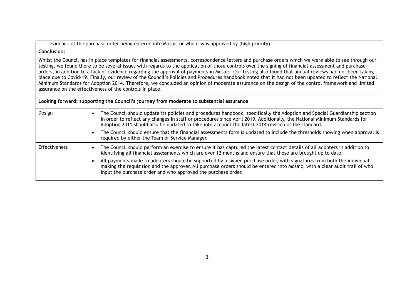evidence of the purchase order being entered into Mosaic or who it was approved by (high priority).

#### **Conclusion:**

Whilst the Council has in place templates for financial assessments, correspondence letters and purchase orders which we were able to see through our testing, we found there to be several issues with regards to the application of those controls over the signing of financial assessment and purchase orders, in addition to a lack of evidence regarding the approval of payments in Mosaic. Our testing also found that annual reviews had not been taking place due to Covid-19. Finally, our review of the Council's Policies and Procedures handbook noted that it had not been updated to reflect the National Minimum Standards for Adoption 2014. Therefore, we concluded an opinion of moderate assurance on the design of the control framework and limited assurance on the effectiveness of the controls in place.

| Looking forward: supporting the Council's journey from moderate to substantial assurance |                                                                                                                                                                                                                                                                                                                                                                |  |  |  |  |
|------------------------------------------------------------------------------------------|----------------------------------------------------------------------------------------------------------------------------------------------------------------------------------------------------------------------------------------------------------------------------------------------------------------------------------------------------------------|--|--|--|--|
| Design                                                                                   | The Council should update its policies and procedures handbook, specifically the Adoption and Special Guardianship section<br>in order to reflect any changes in staff or procedures since April 2019. Additionally, the National Minimum Standards for<br>Adoption 2011 should also be updated to take into account the latest 2014 revision of the standard. |  |  |  |  |
|                                                                                          | The Council should ensure that the financial assessments form is updated to include the thresholds showing when approval is<br>required by either the Team or Service Manager.                                                                                                                                                                                 |  |  |  |  |
| Effectiveness                                                                            | The Council should perform an exercise to ensure it has captured the latest contact details of all adopters in addition to<br>identifying all financial assessments which are over 12 months and ensure that these are brought up to date.                                                                                                                     |  |  |  |  |
|                                                                                          | All payments made to adopters should be supported by a signed purchase order, with signatures from both the individual<br>making the requisition and the approver. All purchase orders should be entered into Mosaic, with a clear audit trail of who<br>input the purchase order and who approved the purchase order.                                         |  |  |  |  |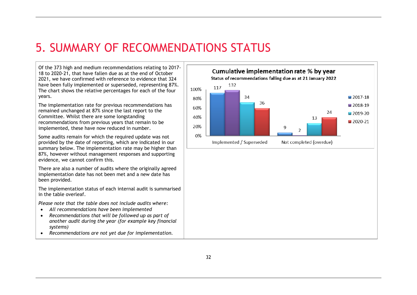# 5. SUMMARY OF RECOMMENDATIONS STATUS

Of the 373 high and medium recommendations relating to 2017- 18 to 2020-21, that have fallen due as at the end of October 2021, we have confirmed with reference to evidence that 324 have been fully implemented or superseded, representing 87%. The chart shows the relative percentages for each of the four years.

The implementation rate for previous recommendations has remained unchanged at 87% since the last report to the Committee. Whilst there are some longstanding recommendations from previous years that remain to be implemented, these have now reduced in number.

Some audits remain for which the required update was not provided by the date of reporting, which are indicated in our summary below. The implementation rate may be higher than 87%, however without management responses and supporting evidence, we cannot confirm this.

There are also a number of audits where the originally agreed implementation date has not been met and a new date has been provided.

The implementation status of each internal audit is summarised in the table overleaf.

*Please note that the table does not include audits where:*

- *All recommendations have been implemented*
- *Recommendations that will be followed up as part of another audit during the year (for example key financial systems)*
- *Recommendations are not yet due for implementation.*

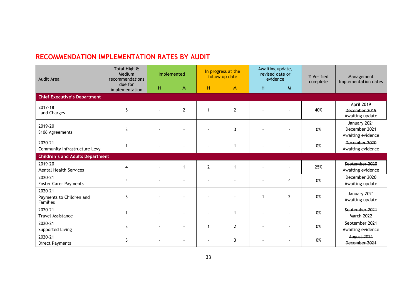## **RECOMMENDATION IMPLEMENTATION RATES BY AUDIT**

| Audit Area                                             | Total High &<br>Medium<br>recommendations |    | Implemented    |                         | In progress at the<br>follow up date | Awaiting update,<br>revised date or<br>evidence |                | % Verified<br>complete | Management<br>Implementation dates                    |
|--------------------------------------------------------|-------------------------------------------|----|----------------|-------------------------|--------------------------------------|-------------------------------------------------|----------------|------------------------|-------------------------------------------------------|
|                                                        | due for<br>implementation                 | Η. | M              | н                       | M                                    | H                                               | M              |                        |                                                       |
| <b>Chief Executive's Department</b>                    |                                           |    |                |                         |                                      |                                                 |                |                        |                                                       |
| 2017-18<br><b>Land Charges</b>                         | 5                                         |    | $\overline{2}$ | $\overline{\mathbf{1}}$ | $\overline{2}$                       |                                                 |                | 40%                    | <b>April 2019</b><br>December 2019<br>Awaiting update |
| 2019-20<br>S106 Agreements                             | 3                                         |    |                |                         | 3                                    |                                                 |                | 0%                     | January 2021<br>December 2021<br>Awaiting evidence    |
| 2020-21<br>Community Infrastructure Levy               |                                           |    |                |                         | 1                                    |                                                 |                | 0%                     | December 2020<br>Awaiting evidence                    |
| <b>Children's and Adults Department</b>                |                                           |    |                |                         |                                      |                                                 |                |                        |                                                       |
| 2019-20<br><b>Mental Health Services</b>               | 4                                         |    | 1              | $\overline{2}$          | $\mathbf{1}$                         |                                                 |                | 25%                    | September 2020<br>Awaiting evidence                   |
| 2020-21<br><b>Foster Carer Payments</b>                | 4                                         |    |                |                         |                                      |                                                 | 4              | 0%                     | December 2020<br>Awaiting update                      |
| 2020-21<br>Payments to Children and<br><b>Families</b> | 3                                         |    |                |                         |                                      | 1                                               | $\overline{2}$ | 0%                     | January 2021<br>Awaiting update                       |
| 2020-21<br><b>Travel Assistance</b>                    |                                           |    |                |                         | 1                                    |                                                 |                | 0%                     | September 2021<br>March 2022                          |
| 2020-21<br>Supported Living                            | 3                                         |    |                | -1                      | $\overline{2}$                       |                                                 |                | 0%                     | September 2021<br>Awaiting evidence                   |
| 2020-21<br><b>Direct Payments</b>                      | 3                                         |    |                |                         | 3                                    |                                                 |                | 0%                     | August 2021<br>December 2021                          |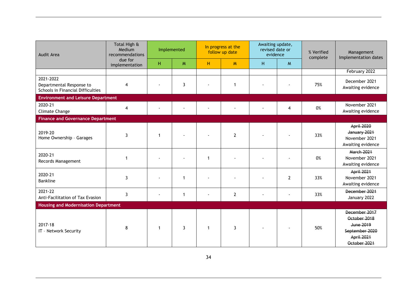| Audit Area                                                                 | Total High &<br>Medium<br>recommendations |    | Implemented    | Awaiting update,<br>In progress at the<br>revised date or<br>follow up date<br>evidence |                |   | % Verified<br>complete | Management<br>Implementation dates |                                                                                                   |
|----------------------------------------------------------------------------|-------------------------------------------|----|----------------|-----------------------------------------------------------------------------------------|----------------|---|------------------------|------------------------------------|---------------------------------------------------------------------------------------------------|
|                                                                            | due for<br>implementation                 | H. | M              | H                                                                                       | M              | H | M                      |                                    |                                                                                                   |
|                                                                            |                                           |    |                |                                                                                         |                |   |                        |                                    | February 2022                                                                                     |
| 2021-2022<br>Departmental Response to<br>Schools in Financial Difficulties | 4                                         |    | 3              |                                                                                         | 1              |   |                        | 75%                                | December 2021<br>Awaiting evidence                                                                |
| <b>Environment and Leisure Department</b>                                  |                                           |    |                |                                                                                         |                |   |                        |                                    |                                                                                                   |
| 2020-21<br>Climate Change                                                  | 4                                         |    |                |                                                                                         |                |   | 4                      | 0%                                 | November 2021<br>Awaiting evidence                                                                |
| <b>Finance and Governance Department</b>                                   |                                           |    |                |                                                                                         |                |   |                        |                                    |                                                                                                   |
| 2019-20<br>Home Ownership - Garages                                        | 3                                         | 1  |                |                                                                                         | $\overline{2}$ |   |                        | 33%                                | <b>April 2020</b><br>January 2021<br>November 2021<br>Awaiting evidence                           |
| 2020-21<br>Records Management                                              | 1                                         |    |                | $\mathbf{1}$                                                                            |                |   |                        | 0%                                 | <b>March 2021</b><br>November 2021<br>Awaiting evidence                                           |
| 2020-21<br><b>Bankline</b>                                                 | 3                                         |    | $\mathbf 1$    |                                                                                         |                |   | $\mathbf{2}$           | 33%                                | April 2021<br>November 2021<br>Awaiting evidence                                                  |
| 2021-22<br>Anti-Facilitation of Tax Evasion                                | 3                                         |    | $\mathbf{1}$   |                                                                                         | $\overline{2}$ |   |                        | 33%                                | December 2021<br>January 2022                                                                     |
| <b>Housing and Modernisation Department</b>                                |                                           |    |                |                                                                                         |                |   |                        |                                    |                                                                                                   |
| 2017-18<br>IT - Network Security                                           | 8                                         | 1  | $\overline{3}$ | $\overline{1}$                                                                          | 3              |   |                        | 50%                                | December 2017<br>October 2018<br><b>June 2019</b><br>September 2020<br>April 2021<br>October 2021 |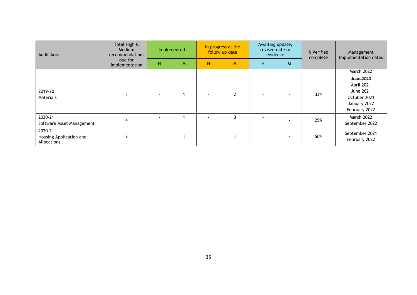| Audit Area                                        | Total High &<br>Medium<br>recommendations |        | Implemented |   | In progress at the<br>follow up date | Awaiting update,<br>revised date or<br>evidence |   | % Verified<br>complete | Management<br>Implementation dates                                                           |
|---------------------------------------------------|-------------------------------------------|--------|-------------|---|--------------------------------------|-------------------------------------------------|---|------------------------|----------------------------------------------------------------------------------------------|
|                                                   | due for<br>implementation                 | н.     | M           | н | M                                    | н                                               | M |                        |                                                                                              |
|                                                   |                                           |        |             |   |                                      |                                                 |   |                        | <b>March 2022</b>                                                                            |
| 2019-20<br>Materials                              |                                           |        |             |   | າ                                    |                                                 |   | 33%                    | June 2020<br>April 2021<br><b>June 2021</b><br>October 2021<br>January 2022<br>February 2022 |
| 2020-21<br>Software Asset Management              |                                           | $\sim$ |             |   | 3                                    | $\overline{\phantom{a}}$                        |   | 25%                    | <b>March 2022</b><br>September 2022                                                          |
| 2020-21<br>Housing Application and<br>Allocations |                                           |        |             |   |                                      |                                                 |   | 50%                    | September 2021<br>February 2022                                                              |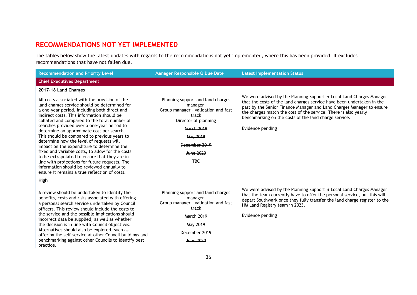## **RECOMMENDATIONS NOT YET IMPLEMENTED**

The tables below show the latest updates with regards to the recommendations not yet implemented, where this has been provided. It excludes recommendations that have not fallen due.

| <b>Recommendation and Priority Level</b>                                                                                                                                                                                                                                                                                                                                                                                                                                                                                                                                                                                                                                                                                                  | Manager Responsible & Due Date                                                                                                                                                                    | <b>Latest Implementation Status</b>                                                                                                                                                                                                                                                                                                                                     |
|-------------------------------------------------------------------------------------------------------------------------------------------------------------------------------------------------------------------------------------------------------------------------------------------------------------------------------------------------------------------------------------------------------------------------------------------------------------------------------------------------------------------------------------------------------------------------------------------------------------------------------------------------------------------------------------------------------------------------------------------|---------------------------------------------------------------------------------------------------------------------------------------------------------------------------------------------------|-------------------------------------------------------------------------------------------------------------------------------------------------------------------------------------------------------------------------------------------------------------------------------------------------------------------------------------------------------------------------|
| <b>Chief Executives Department</b>                                                                                                                                                                                                                                                                                                                                                                                                                                                                                                                                                                                                                                                                                                        |                                                                                                                                                                                                   |                                                                                                                                                                                                                                                                                                                                                                         |
| 2017-18 Land Charges                                                                                                                                                                                                                                                                                                                                                                                                                                                                                                                                                                                                                                                                                                                      |                                                                                                                                                                                                   |                                                                                                                                                                                                                                                                                                                                                                         |
| All costs associated with the provision of the<br>land charges service should be determined for<br>a one-year period, including both direct and<br>indirect costs. This information should be<br>collated and compared to the total number of<br>searches provided over a one-year period to<br>determine an approximate cost per search.<br>This should be compared to previous years to<br>determine how the level of requests will<br>impact on the expenditure to determine the<br>fixed and variable costs, to allow for the costs<br>to be extrapolated to ensure that they are in<br>line with projections for future requests. The<br>information should be reviewed annually to<br>ensure it remains a true reflection of costs. | Planning support and land charges<br>manager<br>Group manager - validation and fast<br>track<br>Director of planning<br>March 2019<br>May 2019<br>December 2019<br><b>June 2020</b><br><b>TBC</b> | We were advised by the Planning Support & Local Land Charges Manager<br>that the costs of the land charges service have been undertaken in the<br>past by the Senior Finance Manager and Land Charges Manager to ensure<br>the charges match the cost of the service. There is also yearly<br>benchmarking on the costs of the land charge service.<br>Evidence pending |
| High                                                                                                                                                                                                                                                                                                                                                                                                                                                                                                                                                                                                                                                                                                                                      |                                                                                                                                                                                                   |                                                                                                                                                                                                                                                                                                                                                                         |
| A review should be undertaken to identify the<br>benefits, costs and risks associated with offering<br>a personal search service undertaken by Council<br>officers. This review should include the costs to<br>the service and the possible implications should<br>incorrect data be supplied, as well as whether<br>the decision is in line with Council objectives.<br>Alternatives should also be explored, such as<br>offering the self-service at other Council buildings and                                                                                                                                                                                                                                                        | Planning support and land charges<br>manager<br>Group manager - validation and fast<br>track<br><b>March 2019</b><br>May 2019<br>December 2019                                                    | We were advised by the Planning Support & Local Land Charges Manager<br>that the team currently have to offer the personal service, but this will<br>depart Southwark once they fully transfer the land charge register to the<br>HM Land Registry team in 2023.<br>Evidence pending                                                                                    |
| benchmarking against other Councils to identify best<br>practice.                                                                                                                                                                                                                                                                                                                                                                                                                                                                                                                                                                                                                                                                         | <b>June 2020</b>                                                                                                                                                                                  |                                                                                                                                                                                                                                                                                                                                                                         |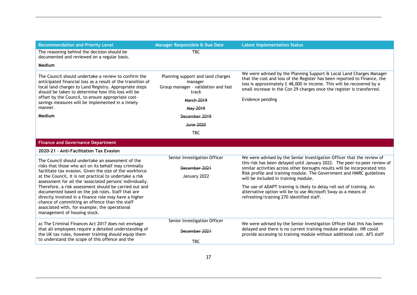| <b>Recommendation and Priority Level</b>                                                                                                                                                                                                                                                                                                                                                                                                                                                                                                                                                                 | Manager Responsible & Due Date                                                               | <b>Latest Implementation Status</b>                                                                                                                                                                                                                                                                                                                                                                                                                                                                                                       |
|----------------------------------------------------------------------------------------------------------------------------------------------------------------------------------------------------------------------------------------------------------------------------------------------------------------------------------------------------------------------------------------------------------------------------------------------------------------------------------------------------------------------------------------------------------------------------------------------------------|----------------------------------------------------------------------------------------------|-------------------------------------------------------------------------------------------------------------------------------------------------------------------------------------------------------------------------------------------------------------------------------------------------------------------------------------------------------------------------------------------------------------------------------------------------------------------------------------------------------------------------------------------|
| The reasoning behind the decision should be<br>documented and reviewed on a regular basis.                                                                                                                                                                                                                                                                                                                                                                                                                                                                                                               | TBC.                                                                                         |                                                                                                                                                                                                                                                                                                                                                                                                                                                                                                                                           |
| Medium                                                                                                                                                                                                                                                                                                                                                                                                                                                                                                                                                                                                   |                                                                                              |                                                                                                                                                                                                                                                                                                                                                                                                                                                                                                                                           |
|                                                                                                                                                                                                                                                                                                                                                                                                                                                                                                                                                                                                          |                                                                                              | We were advised by the Planning Support & Local Land Charges Manager                                                                                                                                                                                                                                                                                                                                                                                                                                                                      |
| The Council should undertake a review to confirm the<br>anticipated financial loss as a result of the transition of<br>local land charges to Land Registry. Appropriate steps<br>should be taken to determine how this loss will be                                                                                                                                                                                                                                                                                                                                                                      | Planning support and land charges<br>manager<br>Group manager - validation and fast<br>track | that the cost and loss of the Register has been reported to Finance, the<br>loss is approximately £ 48,000 in income. This will be recovered by a<br>small increase in the Con 29 charges once the register is transferred.                                                                                                                                                                                                                                                                                                               |
| offset by the Council, to ensure appropriate cost-<br>savings measures will be implemented in a timely                                                                                                                                                                                                                                                                                                                                                                                                                                                                                                   | <b>March 2019</b>                                                                            | Evidence pending                                                                                                                                                                                                                                                                                                                                                                                                                                                                                                                          |
| manner.                                                                                                                                                                                                                                                                                                                                                                                                                                                                                                                                                                                                  | May 2019                                                                                     |                                                                                                                                                                                                                                                                                                                                                                                                                                                                                                                                           |
| Medium                                                                                                                                                                                                                                                                                                                                                                                                                                                                                                                                                                                                   | December 2019                                                                                |                                                                                                                                                                                                                                                                                                                                                                                                                                                                                                                                           |
|                                                                                                                                                                                                                                                                                                                                                                                                                                                                                                                                                                                                          | <b>June 2020</b>                                                                             |                                                                                                                                                                                                                                                                                                                                                                                                                                                                                                                                           |
|                                                                                                                                                                                                                                                                                                                                                                                                                                                                                                                                                                                                          | <b>TBC</b>                                                                                   |                                                                                                                                                                                                                                                                                                                                                                                                                                                                                                                                           |
| <b>Finance and Governance Department</b>                                                                                                                                                                                                                                                                                                                                                                                                                                                                                                                                                                 |                                                                                              |                                                                                                                                                                                                                                                                                                                                                                                                                                                                                                                                           |
| 2020-21 - Anti-Facilitation Tax Evasion                                                                                                                                                                                                                                                                                                                                                                                                                                                                                                                                                                  |                                                                                              |                                                                                                                                                                                                                                                                                                                                                                                                                                                                                                                                           |
| The Council should undertake an assessment of the<br>risks that those who act on its behalf may criminally<br>facilitate tax evasion. Given the size of the workforce<br>at the Council, it is not practical to undertake a risk<br>assessment for all the 'associated persons' individually.<br>Therefore, a risk assessment should be carried out and<br>documented based on the job roles. Staff that are<br>directly involved in a finance role may have a higher<br>chance of committing an offence than the staff<br>associated with, for example, the operational<br>management of housing stock. | Senior Investigation Officer<br>December 2021<br>January 2022                                | We were advised by the Senior Investigation Officer that the review of<br>this risk has been delayed until January 2022. The peer-to-peer review of<br>similar activities across other boroughs results will be incorporated into<br>Risk profile and training module. The Government and HMRC guidelines<br>will be included in training module.<br>The use of ADAPT training is likely to delay roll out of training. An<br>alternative option will be to use Microsoft Sway as a means of<br>refreshing/training 270 identified staff. |
| a) The Criminal Finances Act 2017 does not envisage<br>that all employees require a detailed understanding of<br>the UK tax rules, however training should equip them<br>to understand the scope of this offence and the                                                                                                                                                                                                                                                                                                                                                                                 | Senior Investigation Officer<br>December 2021<br><b>TBC</b>                                  | We were advised by the Senior Investigation Officer that this has been<br>delayed and there is no current training module available. HR could<br>provide accessing to training module without additional cost. AFS staff                                                                                                                                                                                                                                                                                                                  |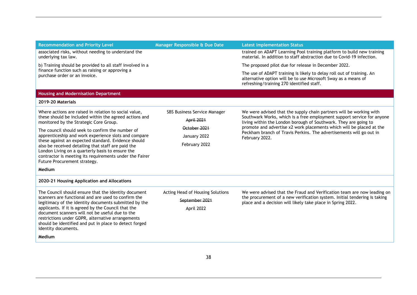| <b>Recommendation and Priority Level</b>                                                                                                                                                                                                                 | Manager Responsible & Due Date   | <b>Latest Implementation Status</b>                                                                                                                                                  |  |
|----------------------------------------------------------------------------------------------------------------------------------------------------------------------------------------------------------------------------------------------------------|----------------------------------|--------------------------------------------------------------------------------------------------------------------------------------------------------------------------------------|--|
| associated risks, without needing to understand the<br>underlying tax law.                                                                                                                                                                               |                                  | trained on ADAPT Learning Pool training platform to build new training<br>material. In addition to staff abstraction due to Covid-19 infection.                                      |  |
| b) Training should be provided to all staff involved in a                                                                                                                                                                                                |                                  | The proposed pilot due for release in December 2022.                                                                                                                                 |  |
| finance function such as raising or approving a<br>purchase order or an invoice.                                                                                                                                                                         |                                  | The use of ADAPT training is likely to delay roll out of training. An<br>alternative option will be to use Microsoft Sway as a means of<br>refreshing/training 270 identified staff. |  |
| <b>Housing and Modernisation Department</b>                                                                                                                                                                                                              |                                  |                                                                                                                                                                                      |  |
| 2019-20 Materials                                                                                                                                                                                                                                        |                                  |                                                                                                                                                                                      |  |
| Where actions are raised in relation to social value,                                                                                                                                                                                                    | SBS Business Service Manager     | We were advised that the supply chain partners will be working with                                                                                                                  |  |
| these should be included within the agreed actions and<br>monitored by the Strategic Core Group.                                                                                                                                                         | <b>April 2021</b>                | Southwark Works, which is a free employment support service for anyone<br>living within the London borough of Southwark. They are going to                                           |  |
| The council should seek to confirm the number of                                                                                                                                                                                                         | October 2021                     | promote and advertise x2 work placements which will be placed at the                                                                                                                 |  |
| apprenticeship and work experience slots and compare                                                                                                                                                                                                     | January 2022                     | Peckham branch of Travis Perkins. The advertisements will go out in<br>February 2022.                                                                                                |  |
| these against an expected standard. Evidence should<br>also be received detailing that staff are paid the<br>London Living on a quarterly basis to ensure the<br>contractor is meeting its requirements under the Fairer<br>Future Procurement strategy. | February 2022                    |                                                                                                                                                                                      |  |
| Medium                                                                                                                                                                                                                                                   |                                  |                                                                                                                                                                                      |  |
| 2020-21 Housing Application and Allocations                                                                                                                                                                                                              |                                  |                                                                                                                                                                                      |  |
| The Council should ensure that the identity document                                                                                                                                                                                                     | Acting Head of Housing Solutions | We were advised that the Fraud and Verification team are now leading on                                                                                                              |  |
| scanners are functional and are used to confirm the<br>legitimacy of the identity documents submitted by the                                                                                                                                             | September 2021                   | the procurement of a new verification system. Initial tendering is taking<br>place and a decision will likely take place in Spring 2022.                                             |  |
| applicants. If it is agreed by the Council that the<br>document scanners will not be useful due to the<br>restrictions under GDPR, alternative arrangements<br>should be identified and put in place to detect forged<br>identity documents.             | April 2022                       |                                                                                                                                                                                      |  |
| Medium                                                                                                                                                                                                                                                   |                                  |                                                                                                                                                                                      |  |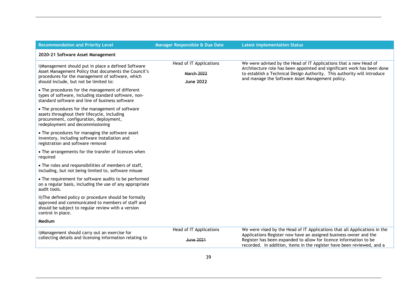| <b>Recommendation and Priority Level</b>                                                                                                                                                                   | Manager Responsible & Due Date                                   | <b>Latest Implementation Status</b>                                                                                                                                                                                                                                                           |
|------------------------------------------------------------------------------------------------------------------------------------------------------------------------------------------------------------|------------------------------------------------------------------|-----------------------------------------------------------------------------------------------------------------------------------------------------------------------------------------------------------------------------------------------------------------------------------------------|
| 2020-21 Software Asset Management                                                                                                                                                                          |                                                                  |                                                                                                                                                                                                                                                                                               |
| i) Management should put in place a defined Software<br>Asset Management Policy that documents the Council's<br>procedures for the management of software, which<br>should include, but not be limited to: | Head of IT Applications<br><b>March 2022</b><br><b>June 2022</b> | We were advised by the Head of IT Applications that a new Head of<br>Architecture role has been appointed and significant work has been done<br>to establish a Technical Design Authority. This authority will introduce<br>and manage the Software Asset Management policy.                  |
| • The procedures for the management of different<br>types of software, including standard software, non-<br>standard software and line of business software                                                |                                                                  |                                                                                                                                                                                                                                                                                               |
| • The procedures for the management of software<br>assets throughout their lifecycle, including<br>procurement, configuration, deployment,<br>redeployment and decommissioning                             |                                                                  |                                                                                                                                                                                                                                                                                               |
| • The procedures for managing the software asset<br>inventory, including software installation and<br>registration and software removal                                                                    |                                                                  |                                                                                                                                                                                                                                                                                               |
| • The arrangements for the transfer of licences when<br>required                                                                                                                                           |                                                                  |                                                                                                                                                                                                                                                                                               |
| • The roles and responsibilities of members of staff,<br>including, but not being limited to, software misuse                                                                                              |                                                                  |                                                                                                                                                                                                                                                                                               |
| • The requirement for software audits to be performed<br>on a regular basis, including the use of any appropriate<br>audit tools.                                                                          |                                                                  |                                                                                                                                                                                                                                                                                               |
| ii) The defined policy or procedure should be formally<br>approved and communicated to members of staff and<br>should be subject to regular review with a version<br>control in place.                     |                                                                  |                                                                                                                                                                                                                                                                                               |
| Medium                                                                                                                                                                                                     |                                                                  |                                                                                                                                                                                                                                                                                               |
| i)Management should carry out an exercise for<br>collecting details and licensing information relating to                                                                                                  | Head of IT Applications<br><b>June 2021</b>                      | We were vised by the Head of IT Applications that all Applications in the<br>Applications Register now have an assigned business owner and the<br>Register has been expanded to allow for licence information to be<br>recorded. In addition, items in the register have been reviewed, and a |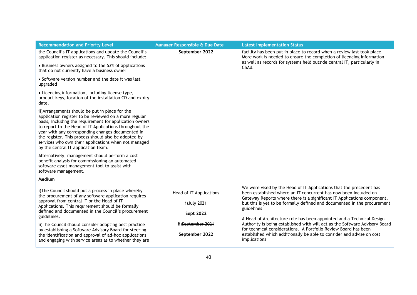| <b>Recommendation and Priority Level</b>                                                                                                                                                                                                                                                                                                                                                                                                   | Manager Responsible & Due Date                       | <b>Latest Implementation Status</b>                                                                                                                                                                                                                                                                              |
|--------------------------------------------------------------------------------------------------------------------------------------------------------------------------------------------------------------------------------------------------------------------------------------------------------------------------------------------------------------------------------------------------------------------------------------------|------------------------------------------------------|------------------------------------------------------------------------------------------------------------------------------------------------------------------------------------------------------------------------------------------------------------------------------------------------------------------|
| the Council's IT applications and update the Council's<br>application register as necessary. This should include:                                                                                                                                                                                                                                                                                                                          | September 2022                                       | facility has been put in place to record when a review last took place.<br>More work is needed to ensure the completion of licencing information,                                                                                                                                                                |
| • Business owners assigned to the 53% of applications<br>that do not currently have a business owner                                                                                                                                                                                                                                                                                                                                       |                                                      | as well as records for systems held outside central IT, particularly in<br>ChAd.                                                                                                                                                                                                                                 |
| • Software version number and the date it was last<br>upgraded                                                                                                                                                                                                                                                                                                                                                                             |                                                      |                                                                                                                                                                                                                                                                                                                  |
| • Licencing information, including license type,<br>product keys, location of the installation CD and expiry<br>date.                                                                                                                                                                                                                                                                                                                      |                                                      |                                                                                                                                                                                                                                                                                                                  |
| ii) Arrangements should be put in place for the<br>application register to be reviewed on a more regular<br>basis, including the requirement for application owners<br>to report to the Head of IT Applications throughout the<br>year with any corresponding changes documented in<br>the register. This process should also be adopted by<br>services who own their applications when not managed<br>by the central IT application team. |                                                      |                                                                                                                                                                                                                                                                                                                  |
| Alternatively, management should perform a cost<br>benefit analysis for commissioning an automated<br>software asset management tool to assist with<br>software management.                                                                                                                                                                                                                                                                |                                                      |                                                                                                                                                                                                                                                                                                                  |
| Medium                                                                                                                                                                                                                                                                                                                                                                                                                                     |                                                      |                                                                                                                                                                                                                                                                                                                  |
| i) The Council should put a process in place whereby<br>the procurement of any software application requires<br>approval from central IT or the Head of IT<br>Applications. This requirement should be formally<br>defined and documented in the Council's procurement                                                                                                                                                                     | Head of IT Applications<br>i) July 2021<br>Sept 2022 | We were vised by the Head of IT Applications that the precedent has<br>been established where an IT concurrent has now been included on<br>Gateway Reports where there is a significant IT Applications component,<br>but this is yet to be formally defined and documented in the procurement<br>guidelines     |
| guidelines.<br>ii) The Council should consider adopting best practice<br>by establishing a Software Advisory Board for steering<br>the identification and approval of ad-hoc applications<br>and engaging with service areas as to whether they are                                                                                                                                                                                        | ii)September 2021<br>September 2022                  | A Head of Architecture role has been appointed and a Technical Design<br>Authority is being established with will act as the Software Advisory Board<br>for technical considerations. A Portfolio Review Board has been<br>established which additionally be able to consider and advise on cost<br>implications |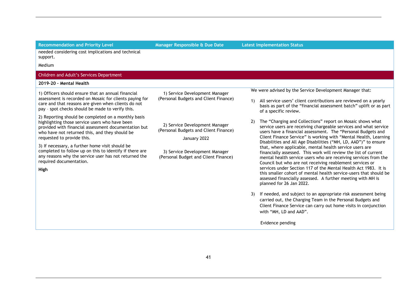**Recommendation and Priority Level Manager Responsible & Due Date Latest Implementation Status**

needed considering cost implications and technical support.

Medium

**High**

#### Children and Adult's Services Department

#### **2019-20 – Mental Health**

1) Officers should ensure that an annual financial assessment is recorded on Mosaic for clients paying for care and that reasons are given when clients do not pay – spot checks should be made to verify this.

2) Reporting should be completed on a monthly basis highlighting those service users who have been provided with financial assessment documentation but who have not returned this, and they should be requested to provide this.

3) If necessary, a further home visit should be completed to follow up on this to identify if there are any reasons why the service user has not returned the required documentation.

1) Service Development Manager (Personal Budgets and Client Finance)

2) Service Development Manager (Personal Budgets and Client Finance)

January 2022

3) Service Development Manager (Personal Budget and Client Finance) We were advised by the Service Development Manager that:

- 1) All service users' client contributions are reviewed on a yearly basis as part of the "financial assessment batch" uplift or as part of a specific review.
- 2) The "Charging and Collections" report on Mosaic shows what service users are receiving chargeable services and what service users have a financial assessment. The "Personal Budgets and Client Finance Service" is working with "Mental Health, Learning Disabilities and All Age Disabilities ("MH, LD, AAD")" to ensure that, where applicable, mental health service users are financially assessed. This work will review the list of current mental health service users who are receiving services from the Council but who are not receiving reablement services or services under Section 117 of the Mental Health Act 1983. It is this smaller cohort of mental health service-users that should be assessed financially assessed. A further meeting with MH is planned for 26 Jan 2022.
- 3) If needed, and subject to an appropriate risk assessment being carried out, the Charging Team in the Personal Budgets and Client Finance Service can carry out home visits in conjunction with "MH, LD and AAD".

Evidence pending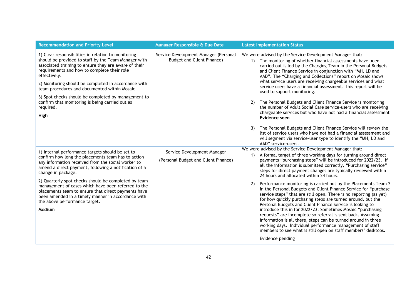| Service Development Manager (Personal<br><b>Budget and Client Finance)</b> |    | We were advised by the Service Development Manager that:<br>1) The monitoring of whether financial assessments have been<br>carried out is led by the Charging Team in the Personal Budgets<br>and Client Finance Service in conjunction with "MH, LD and<br>AAD". The "Charging and Collections" report on Mosaic shows<br>what service users are receiving chargeable services and what<br>service users have a financial assessment. This report will be                                                                                                                                                                                                                          |
|----------------------------------------------------------------------------|----|--------------------------------------------------------------------------------------------------------------------------------------------------------------------------------------------------------------------------------------------------------------------------------------------------------------------------------------------------------------------------------------------------------------------------------------------------------------------------------------------------------------------------------------------------------------------------------------------------------------------------------------------------------------------------------------|
|                                                                            |    | used to support monitoring.                                                                                                                                                                                                                                                                                                                                                                                                                                                                                                                                                                                                                                                          |
|                                                                            |    | The Personal Budgets and Client Finance Service is monitoring<br>the number of Adult Social Care service-users who are receiving<br>chargeable services but who have not had a financial assessment<br>Evidence seen                                                                                                                                                                                                                                                                                                                                                                                                                                                                 |
|                                                                            | 3) | The Personal Budgets and Client Finance Service will review the<br>list of service users who have not had a financial assessment and<br>will segment via service-user type to identify the "MH, LD and<br>AAD" service-users.                                                                                                                                                                                                                                                                                                                                                                                                                                                        |
| Service Development Manager<br>(Personal Budget and Client Finance)        |    | We were advised by the Service Development Manager that:<br>A formal target of three working days for turning around direct<br>payments "purchasing steps" will be introduced for 2022/23. If<br>all the information is submitted correctly, "Purchasing service"<br>steps for direct payment changes are typically reviewed within<br>24 hours and allocated within 24 hours.                                                                                                                                                                                                                                                                                                       |
|                                                                            | 2) | Performance monitoring is carried out by the Placements Team 2<br>in the Personal Budgets and Client Finance Service for "purchase<br>service steps" that are still open. There is no reporting (as yet)<br>for how quickly purchasing steps are turned around, but the<br>Personal Budgets and Client Finance Service is looking to<br>introduce this in for 2022/23. Sometimes Mosaic "purchasing<br>requests" are incomplete so referral is sent back. Assuming<br>information is all there, steps can be turned around in three<br>working days. Individual performance management of staff<br>members to see what is still open on staff members' desktops.<br>Evidence pending |
|                                                                            |    |                                                                                                                                                                                                                                                                                                                                                                                                                                                                                                                                                                                                                                                                                      |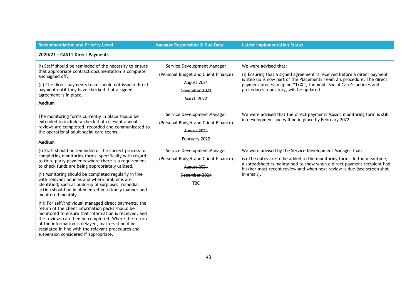| <b>Recommendation and Priority Level</b>                                                                                                                                                                                                                                                                                                                                                                                                                                                                                                                                                                                                          | Manager Responsible & Due Date                                                                                           | <b>Latest Implementation Status</b>                                                                                                                                                                                                                                                                    |
|---------------------------------------------------------------------------------------------------------------------------------------------------------------------------------------------------------------------------------------------------------------------------------------------------------------------------------------------------------------------------------------------------------------------------------------------------------------------------------------------------------------------------------------------------------------------------------------------------------------------------------------------------|--------------------------------------------------------------------------------------------------------------------------|--------------------------------------------------------------------------------------------------------------------------------------------------------------------------------------------------------------------------------------------------------------------------------------------------------|
| 2020/21 - CAS11 Direct Payments                                                                                                                                                                                                                                                                                                                                                                                                                                                                                                                                                                                                                   |                                                                                                                          |                                                                                                                                                                                                                                                                                                        |
| (i) Staff should be reminded of the necessity to ensure<br>that appropriate contract documentation is complete<br>and signed off.<br>(ii) The direct payments team should not issue a direct<br>payment until they have checked that a signed<br>agreement is in place.<br>Medium                                                                                                                                                                                                                                                                                                                                                                 | Service Development Manager<br>(Personal Budget and Client Finance)<br>August 2021<br>November 2021<br>March 2022        | We were advised that:<br>(i) Ensuring that a signed agreement is received before a direct payment<br>is step up is now part of the Placements Team 2's procedure. The direct<br>payment process map on "TriX", the Adult Social Care's policies and<br>procedures repository, will be updated.         |
| The monitoring forms currently in place should be<br>extended to include a check that relevant annual<br>reviews are completed, recorded and communicated to<br>the operational adult social care teams.<br>Medium                                                                                                                                                                                                                                                                                                                                                                                                                                | Service Development Manager<br>(Personal Budget and Client Finance)<br><b>August 2021</b><br>February 2022               | We were advised that the direct payments Mosaic monitoring form is still<br>in development and will be in place by February 2022.                                                                                                                                                                      |
| (i) Staff should be reminded of the correct process for<br>completing monitoring forms, specifically with regard<br>to third party payments where there is a requirement<br>to check funds are being appropriately utilised.<br>(ii) Monitoring should be completed regularly in line<br>with relevant policies and where problems are<br>identified, such as build-up of surpluses, remedial<br>action should be implemented in a timely manner and<br>monitored monthly.<br>(iii) For self/individual managed direct payments, the<br>return of the client information packs should be<br>monitored to ensure that information is received, and | Service Development Manager<br>(Personal Budget and Client Finance)<br><b>August 2021</b><br>December 2021<br><b>TBC</b> | We were advised by the Service Development Manager that:<br>iv) The dates are to be added to the monitoring form. In the meantime,<br>a spreadsheet is maintained to show when a direct payment recipient had<br>his/her most recent review and when next review is due (see screen shot<br>in email). |
| the reviews can then be completed. Where the return<br>of the information is delayed, matters should be<br>escalated in line with the relevant procedures and<br>suspension considered if appropriate.                                                                                                                                                                                                                                                                                                                                                                                                                                            |                                                                                                                          |                                                                                                                                                                                                                                                                                                        |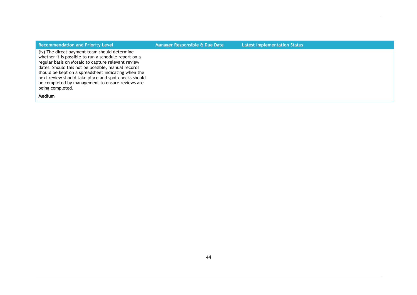| <b>Recommendation and Priority Level</b>                                                                                                                                                                                                                                                                                                                                                                 | Manager Responsible & Due Date | <b>Latest Implementation Status</b> |
|----------------------------------------------------------------------------------------------------------------------------------------------------------------------------------------------------------------------------------------------------------------------------------------------------------------------------------------------------------------------------------------------------------|--------------------------------|-------------------------------------|
| (iv) The direct payment team should determine<br>whether it is possible to run a schedule report on a<br>regular basis on Mosaic to capture relevant review<br>dates. Should this not be possible, manual records<br>should be kept on a spreadsheet indicating when the<br>next review should take place and spot checks should<br>be completed by management to ensure reviews are<br>being completed. |                                |                                     |
| <b>Medium</b>                                                                                                                                                                                                                                                                                                                                                                                            |                                |                                     |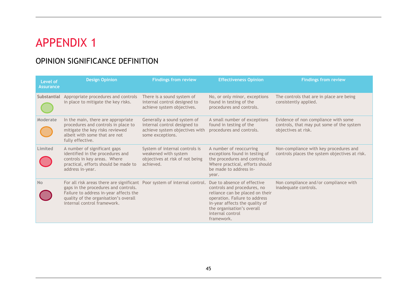# APPENDIX 1

## OPINION SIGNIFICANCE DEFINITION

| Level of<br><b>Assurance</b> | <b>Design Opinion</b>                                                                                                                                                                                                               | <b>Findings from review</b>                                                                                       | <b>Effectiveness Opinion</b>                                                                                                                                                                                                     | <b>Findings from review</b>                                                                              |
|------------------------------|-------------------------------------------------------------------------------------------------------------------------------------------------------------------------------------------------------------------------------------|-------------------------------------------------------------------------------------------------------------------|----------------------------------------------------------------------------------------------------------------------------------------------------------------------------------------------------------------------------------|----------------------------------------------------------------------------------------------------------|
| Substantial                  | Appropriate procedures and controls<br>in place to mitigate the key risks.                                                                                                                                                          | There is a sound system of<br>internal control designed to<br>achieve system objectives.                          | No, or only minor, exceptions<br>found in testing of the<br>procedures and controls.                                                                                                                                             | The controls that are in place are being<br>consistently applied.                                        |
| Moderate                     | In the main, there are appropriate<br>procedures and controls in place to<br>mitigate the key risks reviewed<br>albeit with some that are not<br>fully effective.                                                                   | Generally a sound system of<br>internal control designed to<br>achieve system objectives with<br>some exceptions. | A small number of exceptions<br>found in testing of the<br>procedures and controls.                                                                                                                                              | Evidence of non compliance with some<br>controls, that may put some of the system<br>objectives at risk. |
| Limited                      | A number of significant gaps<br>identified in the procedures and<br>controls in key areas. Where<br>practical, efforts should be made to<br>address in-year.                                                                        | System of internal controls is<br>weakened with system<br>objectives at risk of not being<br>achieved.            | A number of reoccurring<br>exceptions found in testing of<br>the procedures and controls.<br>Where practical, efforts should<br>be made to address in-<br>year.                                                                  | Non-compliance with key procedures and<br>controls places the system objectives at risk.                 |
| <b>No</b>                    | For all risk areas there are significant Poor system of internal control.<br>gaps in the procedures and controls.<br>Failure to address in-year affects the<br>quality of the organisation's overall<br>internal control framework. |                                                                                                                   | Due to absence of effective<br>controls and procedures, no<br>reliance can be placed on their<br>operation. Failure to address<br>in-year affects the quality of<br>the organisation's overall<br>internal control<br>framework. | Non compliance and/or compliance with<br>inadequate controls.                                            |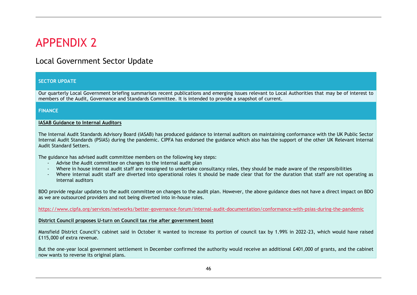# APPENDIX 2

## Local Government Sector Update

#### **Audit Recommendation made Priority SECTOR UPDATE**

**Level Responsible Due Date Current Progress** but quarterly Ebeat Government Briefing Summarises recent publications and emerging issues retevant to Ebeat<br>members of the Audit, Governance and Standards Committee. It is intended to provide a snapshot of current. Our quarterly Local Government briefing summarises recent publications and emerging issues relevant to Local Authorities that may be of interest to

#### **FINANCE**

#### **IASAB Guidance to Internal Auditors**

a quidance v Internal Audit Standards (PSIAS) during the pandemic. CIPFA has endorsed the guidance which also has the support of the other UK Relevant Internal<br>Audit Standard Sotters The Internal Audit Standards Advisory Board (IASAB) has produced [guidance to internal auditors](https://protect-eu.mimecast.com/s/LFhWC83GRfv03p4I9JkPL?domain=email.cipfa.org.uk) on maintaining conformance with the UK Public Sector Audit Standard Setters.

The guidance has advised audit committee members on the following key steps:

- guidance has advised addit committee members on the following key steps.<br>- Advise the Audit committee on changes to the internal audit plan
- Where in house internal audit staff are reassigned to undertake consultancy roles, they should be made aware of the responsibilities
- Where internal audit staff are diverted into operational roles it should be made clear that for the duration that staff are not operating as internal auditors

BDO provide regular updates to the audit committee on changes to the audit plan. However, the above guidance does not have a direct impact on BDO as we are outsourced providers and not being diverted into in-house roles.

<https://www.cipfa.org/services/networks/better-governance-forum/internal-audit-documentation/conformance-with-psias-during-the-pandemic>

#### **District Council proposes U-turn on Council tax rise after government boost**

Mansfield District Council's cabinet said in October it wanted to increase its portion of council tax by 1.99% in 2022-23, which would have raised £115,000 of extra revenue.

But the one-year local government settlement in December confirmed the authority would receive an additional £401,000 of grants, and the cabinet now wants to reverse its original plans.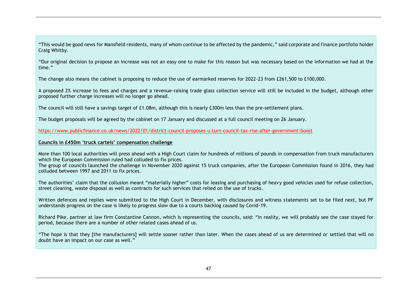"This would be good news for Mansfield residents, many of whom continue to be affected by the pandemic," said corporate and finance portfolio holder Craig Whitby.

"Our original decision to propose an increase was not an easy one to make for this reason but was necessary based on the information we had at the time."

The change also means the cabinet is proposing to reduce the use of earmarked reserves for 2022-23 from £261,500 to £100,000.

**Level Responsible Due Date Current Progress** A proposed 2% increase to fees and charges and a revenue-raising trade glass collection service will still be included in the budget, although other proposed further charge increases will no longer go ahead.

The council will still have a savings target of £1.08m, although this is nearly £300m less than the pre-settlement plans.

The budget proposals will be agreed by the cabinet on 17 January and discussed at a full council meeting on 26 January.

<https://www.publicfinance.co.uk/news/2022/01/district-council-proposes-u-turn-council-tax-rise-after-government-boost>

#### **Councils in £450m 'truck cartels' compensation challenge**

More than 100 local authorities will press ahead with a High Court claim for hundreds of millions of pounds in compensation from truck manufacturers which the European Commission ruled had colluded to fix prices.

which the European Commission ruled had colluded to fix prices.<br>The group of councils launched the challenge in November 2020 against 15 truck companies, after the European Commission found in 2016, they had colluded between 1997 and 2011 to fix prices.

The authorities' claim that the collusion meant "materially higher" costs for leasing and purchasing of heavy good vehicles used for refuse collection, street cleaning, waste disposal as well as contracts for such services that relied on the use of trucks.

Written defences and replies were submitted to the High Court in December, with disclosures and witness statements set to be filed next, but PF understands progress on the case is likely to progress slow due to a courts backlog caused by Covid-19.

Richard Pike, partner at law firm Constantine Cannon, which is representing the councils, said: "In reality, we will probably see the case stayed for period, because there are a number of other related cases ahead of us.

"The hope is that they [the manufacturers] will settle sooner rather than later. When the cases ahead of us are determined or settled that will no doubt have an impact on our case as well."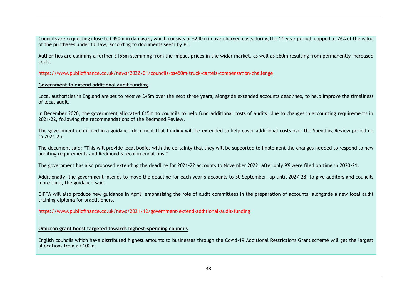Councils are requesting close to £450m in damages, which consists of £240m in overcharged costs during the 14-year period, capped at 26% of the value of the purchases under EU law, according to documents seem by PF.

Authorities are claiming a further £155m stemming from the impact prices in the wider market, as well as £60m resulting from permanently increased costs.

https://www.publicfinance.co.uk/news/2022/01/councils-ps450m-truck-cartels-compensation-challenge

#### **Audit Recommendation made Priority Government to extend additional audit funding Level**

Local authorities in England are set to receive £45m over the next three years, alongside extended accounts deadlines, to help improve the timeliness of local audit.

In December 2020, the government allocated £15m to councils to help fund additional costs of audits, due to changes in accounting requirements in 2021-22, following the recommendations of the Redmond Review.

The government confirmed in a guidance document that funding will be extended to help cover additional costs over the Spending Review period up to 2024-25.

The document said: "This will provide local bodies with the certainty that they will be supported to implement the changes needed to respond to new auditing requirements and Redmond's recommendations."

which and the government has also proposed extending the deadline for 2021-22 accounts to November 2022, after only 9% were filed on time in 2020-21.<br>The government has also proposed extending the deadline for 2021-22 acco

Additionally, the government intends to move the deadline for each year's accounts to 30 September, up until 2027-28, to give auditors and councils more time, the guidance said.

CIPFA will also produce new guidance in April, emphasising the role of audit committees in the preparation of accounts, alongside a new local audit training diploma for practitioners.

https://www.publicfinance.co.uk/news/2021/12/government-extend-additional-audit-funding

#### **Omicron grant boost targeted towards highest-spending councils**

English councils which have distributed highest amounts to businesses through the Covid-19 Additional Restrictions Grant scheme will get the largest allocations from a £100m.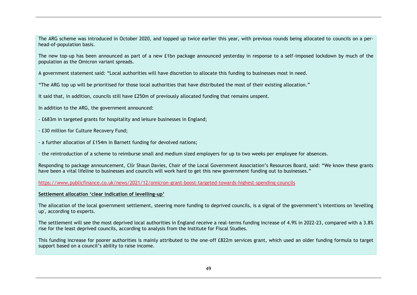The ARG scheme was introduced in October 2020, and topped up twice earlier this year, with previous rounds being allocated to councils on a perhead-of-population basis.

The new top-up has been announced as part of a new £1bn package announced yesterday in response to a self-imposed lockdown by much of the population as the Omicron variant spreads.

A government statement said: "Local authorities will have discretion to allocate this funding to businesses most in need.

"The ARG top up will be prioritised for those local authorities that have distributed the most of their existing allocation."

It said that, in addition, councils still have £250m of previously allocated funding that remains unspent.

- In addition to the ARG, the government announced:
- £683m in targeted grants for hospitality and leisure businesses in England;
- £30 million for Culture Recovery Fund;
- a further allocation of £154m in Barnett funding for devolved nations;

- the reintroduction of a scheme to reimburse small and medium sized employers for up to two weeks per employee for absences.

werponding to package announcement, Cllr Shaun Davies, Chair of the Local Government Association's Resources Board, said: "We know these grants and the se strants and the se strants and the se strants and the se strants an have been a vital lifeline to businesses and councils will work hard to get this new government funding out to businesses."

<https://www.publicfinance.co.uk/news/2021/12/omicron-grant-boost-targeted-towards-highest-spending-councils>

#### **Settlement allocation 'clear indication of levelling-up'**

The allocation of the local government settlement, steering more funding to deprived councils, is a signal of the government's intentions on 'levelling up', according to experts.

The settlement will see the most deprived local authorities in England receive a real-terms funding increase of 4.9% in 2022-23, compared with a 3.8% rise for the least deprived councils, according to analysis from the Institute for Fiscal Studies.

This funding increase for poorer authorities is mainly attributed to the one-off £822m services grant, which used an older funding formula to target support based on a council's ability to raise income.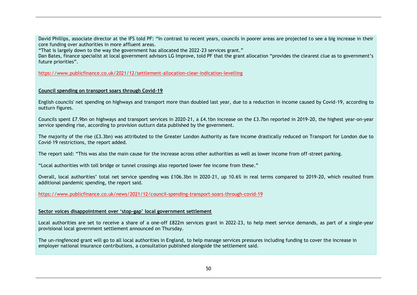David Phillips, associate director at the IFS told PF: "In contrast to recent years, councils in poorer areas are projected to see a big increase in their core funding over authorities in more affluent areas.

"That is largely down to the way the government has allocated the 2022-23 services grant."

Dan Bates, finance specialist at local government advisors LG Improve, told PF that the grant allocation "provides the clearest clue as to government's future priorities".

https://www.publicfinance.co.uk/2021/12/settlement-allocation-clear-indication-levelling

#### **Level Council spending on transport soars through Covid-19 Responsible Due Date Current Progress**

IA Comments: English councils' net spending on highways and transport more than doubled last year, due to a reduction in income caused by Covid-19, according to outturn figures.

 $\sum_{i=1}^{n}$  increase  $\sum_{i=1}^{n}$ service spending rise, according to provision outturn data published by the government. Councils spent £7.9bn on highways and transport services in 2020-21, a £4.1bn increase on the £3.7bn reported in 2019-20, the highest year-on-year

The majority of the rise (£3.3bn) was attributed to the Greater London Authority as fare income drastically reduced on Transport for London due to Covid-19 restrictions, the report added.

The report said: "This was also the main cause for the increase across other authorities as well as lower income from off-street parking.

"Local authorities with toll bridge or tunnel crossings also reported lower fee income from these."

Overall, local authorities' total net service spending was £106.3bn in 2020-21, up 10.6% in real terms compared to 2019-20, which resulted from additional pandemic spending, the report said.

https://www.publicfinance.co.uk/news/2021/12/council-spending-transport-soars-through-covid-19

#### **Sector voices disappointment over 'stop-gap' local government settlement**

Local authorities are set to receive a share of a one-off £822m services grant in 2022-23, to help meet service demands, as part of a single-year provisional local government settlement announced on Thursday.

The un-ringfenced grant will go to all local authorities in England, to help manage services pressures including funding to cover the increase in employer national insurance contributions, a consultation published alongside the settlement said.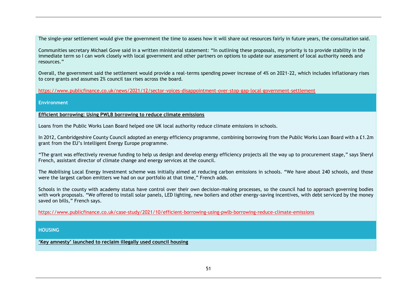The single-year settlement would give the government the time to assess how it will share out resources fairly in future years, the consultation said.

Communities secretary Michael Gove said in a written ministerial statement: "In outlining these proposals, my priority is to provide stability in the immediate term so I can work closely with local government and other partners on options to update our assessment of local authority needs and resources."

Overall, the government said the settlement would provide a real-terms spending power increase of 4% on 2021-22, which includes inflationary rises to core grants and assumes 2% council tax rises across the board.

**Level Responsible Due Date Current Progress** https://www.publicfinance.co.uk/news/2021/12/sector-voices-disappointment-over-stop-gap-local-government-settlement

#### **Environment**

**Efficient borrowing: Using PWLB borrowing to reduce climate emissions**

IA Comments: Loans from the Public Works Loan Board helped one UK local authority reduce climate emissions in schools.

In 2012, Cambridgeshire County Council adopted an energy efficiency programme, combining borrowing from the Public Works Loan Board with a £1.2m grant from the EU's Intelligent Energy Europe programme.

Trust Comments:

"The grant was effectively revenue funding to help us design and develop energy efficiency projects all the way up to procurement stage," says Sheryl French, assistant director of climate change and energy services at the council.

The Mobilising Local Energy Investment scheme was initially aimed at reducing carbon emissions in schools. "We have about 240 schools, and those were the largest carbon emitters we had on our portfolio at that time," French adds.

Schools in the county with academy status have control over their own decision-making processes, so the council had to approach governing bodies with work proposals. "We offered to install solar panels, LED lighting, new boilers and other energy-saving incentives, with debt serviced by the money saved on bills," French says.

https://www.publicfinance.co.uk/case-study/2021/10/efficient-borrowing-using-pwlb-borrowing-reduce-climate-emissions

#### **HOUSING**

**'Key amnesty' launched to reclaim illegally used council housing**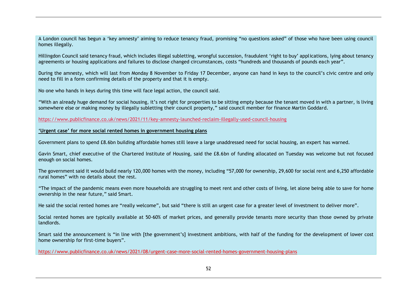A London council has begun a 'key amnesty' aiming to reduce tenancy fraud, promising "no questions asked" of those who have been using council homes illegally.

Hillingdon Council said tenancy fraud, which includes illegal subletting, wrongful succession, fraudulent 'right to buy' applications, lying about tenancy agreements or housing applications and failures to disclose changed circumstances, costs "hundreds and thousands of pounds each year".

During the amnesty, which will last from Monday 8 November to Friday 17 December, anyone can hand in keys to the council's civic centre and only need to fill in a form confirming details of the property and that it is empty.

**Level Responsible Due Date Current Progress** No one who hands in keys during this time will face legal action, the council said.

somewhere else or making money by illegally subletting their council property," said council member for finance Martin Goddard.  $T$ "With an already huge demand for social housing, it's not right for properties to be sitting empty because the tenant moved in with a partner, is living

<https://www.publicfinance.co.uk/news/2021/11/key-amnesty-launched-reclaim-illegally-used-council-housing><br>.

#### **'Urgent case' for more social rented homes in government housing plans**

Government plans to spend £8.6bn building affordable homes still leave a large unaddressed need for social housing, an expert has warned.

Gavin Smart, chief executive of the Chartered Institute of Housing, said the £8.6bn of funding allocated on Tuesday was welcome but not focused  $\blacksquare$ enough on social homes.  $\blacksquare$ 

The government said it would build nearly 120,000 homes with the money, including "57,000 for ownership, 29,600 for social rent and 6,250 affordable rural homes" with no details about the rest.

"The impact of the pandemic means even more households are struggling to meet rent and other costs of living, let alone being able to save for home ownership in the near future," said Smart.

He said the social rented homes are "really welcome", but said "there is still an urgent case for a greater level of investment to deliver more".

Social rented homes are typically available at 50-60% of market prices, and generally provide tenants more security than those owned by private landlords.

Smart said the announcement is "in line with [the government's] investment ambitions, with half of the funding for the development of lower cost home ownership for first-time buyers".

https://www.publicfinance.co.uk/news/2021/08/urgent-case-more-social-rented-homes-government-housing-plans